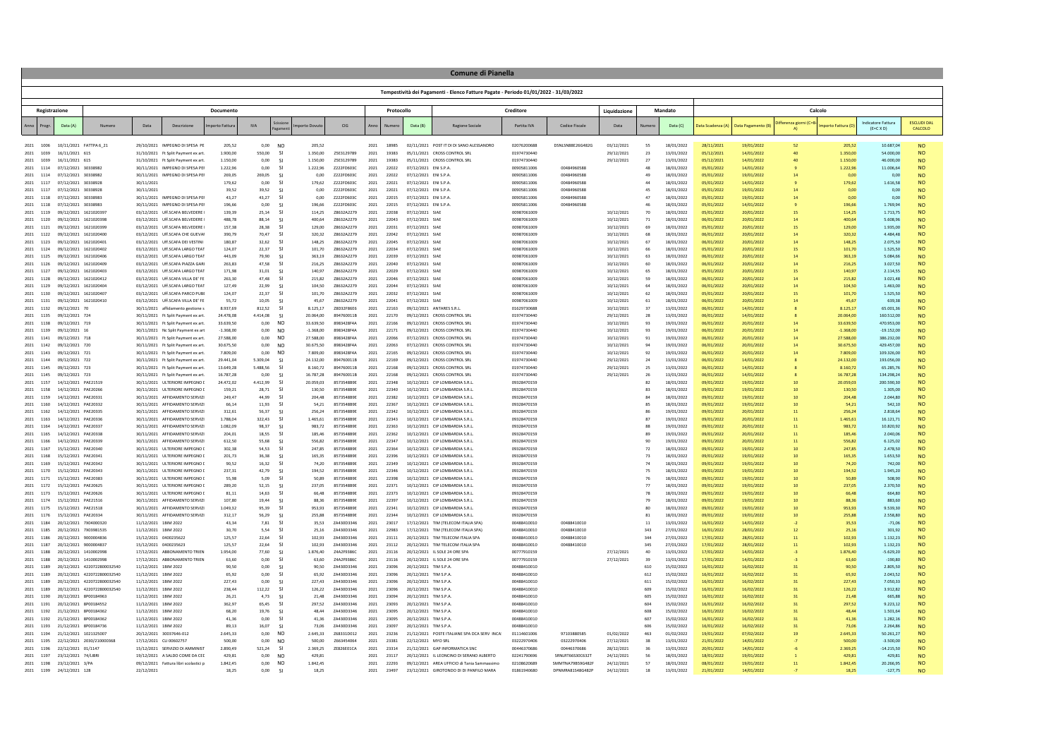|                        | <b>Comune di Pianella</b> |                                                |                             |                                              |                                                                          |                        |                   |                                  |                        |                                 |              |                |                                                |                                                                                      |                            |                                 |                          |            |                          |                          |                          |                             |                        |                                               |                              |  |
|------------------------|---------------------------|------------------------------------------------|-----------------------------|----------------------------------------------|--------------------------------------------------------------------------|------------------------|-------------------|----------------------------------|------------------------|---------------------------------|--------------|----------------|------------------------------------------------|--------------------------------------------------------------------------------------|----------------------------|---------------------------------|--------------------------|------------|--------------------------|--------------------------|--------------------------|-----------------------------|------------------------|-----------------------------------------------|------------------------------|--|
|                        |                           |                                                |                             |                                              |                                                                          |                        |                   |                                  |                        |                                 |              |                |                                                | Tempestività dei Pagamenti - Elenco Fatture Pagate - Periodo 01/01/2022 - 31/03/2022 |                            |                                 |                          |            |                          |                          |                          |                             |                        |                                               |                              |  |
|                        | Registrazione             |                                                |                             |                                              |                                                                          | Documento              |                   |                                  |                        |                                 |              | Protocollo     |                                                |                                                                                      | Creditore                  |                                 | Liquidazione             |            | Mandato                  |                          |                          | Calcolo                     |                        |                                               |                              |  |
|                        | Progr                     | Data (A)                                       | Numero                      | Data                                         | Descrizione                                                              | porto Fattura          | <b>IVA</b>        |                                  | porto Dovute           | CIG                             |              |                | Data (B)                                       | Ragione Sociale                                                                      | Partita IVA                | Codice Fiscale                  | Data                     |            | Data (C)                 | Data Scadenza (A)        | Data Pagamento (B)       | fferenza giorni (C=B        | porto Fattura (D       | <b>Indicatore Fattura</b><br>$(E=C \times D)$ | <b>ESCLUDI DA</b><br>CALCOLO |  |
|                        |                           |                                                |                             |                                              |                                                                          |                        |                   |                                  |                        |                                 |              |                |                                                |                                                                                      |                            |                                 |                          |            |                          |                          |                          |                             |                        |                                               |                              |  |
| 2021<br>2021           | 1006<br>1039              | 10/11/2021 FATTPA 6 21<br>16/11/2021 615       |                             |                                              | 29/10/2021 IMPEGNO DI SPESA PE<br>31/10/2021 Ft Solit Payment ex art     | 205.52<br>1,900.00     | 0.00<br>550.00    | N <sub>O</sub><br>$\mathsf{C}$   | 205.52<br>1.350.00     | 75F3129789                      | 2021<br>2021 | 18985<br>19383 |                                                | 02/11/2021 POST IT DI DI SANO ALESSANDRO<br>05/11/2021 CROSS CONTROL SRI             | 02076200688<br>01974730440 | DSNLSN88E26G482G                | 03/12/2021<br>29/12/2021 | 55<br>73   | 18/01/2022<br>13/01/2022 | 28/11/2021<br>05/12/2021 | 19/01/2022<br>14/01/2022 | 52<br>$\Delta$ <sup>0</sup> | 205.52<br>1.350.00     | 10.687.04<br>54,000.00                        | <b>NO</b>                    |  |
| 2021                   | 1039                      | 16/11/2021 615                                 |                             |                                              | 31/10/2021 Ft Split Payment ex art                                       | 1.150,00               | 0,00              | -SI                              | 1.150,00               | Z5E3129789                      | 2021         | 19383          |                                                | 05/11/2021 CROSS CONTROL SRI                                                         | 01974730440                |                                 | 29/12/2021               | 27         | 13/01/2022               | 05/12/2021               | 14/01/2022               | 40                          | 1.150,00               | 46.000,00                                     | <b>NO</b>                    |  |
| 2021                   | 1114                      | 07/12/2021 30338982                            |                             |                                              | 30/11/2021 IMPEGNO DI SPESA PEI                                          | 1.222,96               | 0,00              | -SI                              | 1.222,96               | Z222FD603C                      | 2021         | 22022          | 07/12/2021 ENIS.P.A                            |                                                                                      | 00905811006                | 00484960588                     |                          | 48         | 18/01/2022               | 05/01/2022               | 14/01/2022               |                             | 1.222,96               | 11.006,64                                     | <b>NO</b>                    |  |
| 2021<br>2021           | 1114<br>1117              | 07/12/2021 30338982<br>07/12/2021 30338928     |                             | 30/11/2021                                   | 30/11/2021 IMPEGNO DI SPESA PEI                                          | 269.05<br>179,62       | 269.05<br>0.00    | -SI<br><b>SI</b>                 | 0.00<br>179,62         | Z222FD603C<br>Z222FD603C        | 2021<br>2021 | 22022<br>22021 | 07/12/2021 ENIS.P.A<br>07/12/2021 ENIS.P.A     |                                                                                      | 00905811006<br>00905811006 | 00484960588<br>00484960588      |                          | 49<br>44   | 18/01/2022<br>18/01/2022 | 05/01/2022<br>05/01/2022 | 19/01/2022<br>14/01/2022 | 14                          | 0.00<br>179,62         | 0.00<br>1.616,58                              | <b>NO</b><br><b>NO</b>       |  |
| 2021                   | 1117                      | 07/12/2021 30338928                            |                             | 30/11/2021                                   |                                                                          | 39,52                  | 39,52             | ୍ୟ                               | 0,00                   | Z222FD603C                      | 2021         | 22021          | 07/12/2021 ENIS.P.A                            |                                                                                      | 00905811006                | 00484960588                     |                          | 45         | 18/01/2022               | 05/01/2022               | 19/01/2022               |                             | 0.00                   | 0,00                                          | <b>NO</b>                    |  |
| 2021 1118<br>2021 1118 |                           | 07/12/2021 30338983<br>07/12/2021 30338983     |                             |                                              | 30/11/2021 IMPEGNO DI SPESA PEI<br>30/11/2021 IMPEGNO DI SPESA PEI       | 43.27<br>196.66        | 43.27<br>0.00     | ୍ୟ                               | 0.00<br>196.66         | Z222FD603C<br>Z222FD603C        | 2021<br>2021 | 22015<br>22015 | 07/12/2021 ENIS.P.A<br>07/12/2021 ENIS.P.A     |                                                                                      | 00905811006<br>00905811006 | 00484960588<br>00484960588      |                          | 47         | 18/01/2022<br>18/01/2022 | 05/01/2022<br>05/01/2022 | 19/01/2022<br>14/01/2022 |                             | 0.00<br>196,66         | 0.00<br>1,769.94                              | <b>NO</b><br><b>NO</b>       |  |
| 2021                   | 1119                      | 09/12/2021 1621020397                          |                             |                                              | 03/12/2021 Uff.SCAFA BELVEDERE                                           | 139,39                 | 25,14             | $\mathsf{S}$                     | 114,25                 | Z8632A2279                      | 2021         | 22038          | 07/12/2021 SIAE                                |                                                                                      | 00987061009                |                                 | 10/12/2021               | 70         | 18/01/2022               | 05/01/2022               | 20/01/2022               |                             | 114,25                 | 1.713,75                                      | <b>NO</b>                    |  |
| 2021                   | 1120                      | 09/12/2021 1621020398                          |                             |                                              | 03/12/2021 Uff.SCAFA BELVEDERE                                           | 488.78                 | 88.14             | -SI                              | 400.64                 | Z8632A2279                      | 2021         | 22043          | 07/12/2021 SIAE                                |                                                                                      | 00987061009                |                                 | 10/12/2021               | 71         | 18/01/2022               | 06/01/2022               | 20/01/2022               | 14                          | 400.64                 | 5.608.96                                      | <b>NO</b>                    |  |
| 2021<br>2021           | 1121<br>1122              | 09/12/2021<br>09/12/2021 1621020400            | 1621020399                  | 03/12/2021                                   | Uff.SCAFA BELVEDERE<br>03/12/2021 Uff SCAFA CHE GUEVAL                   | 157,38<br>390.79       | 28,38<br>70.47    | SI<br>-SI                        | 129,0<br>320.32        | Z8632A2279<br>7863242279        | 2021<br>2021 | 22031<br>22042 | 07/12/2021 SIAB<br>07/12/2021 SIAR             |                                                                                      | 00987061009<br>00987061009 |                                 | 10/12/2021<br>10/12/2021 | 69<br>68   | 18/01/2023<br>18/01/2022 | 05/01/2022<br>06/01/2022 | 20/01/2022<br>20/01/2022 | 15<br>14                    | 129,00<br>320.32       | 1.935,00<br>4 484 48                          | <b>NO</b><br><b>NO</b>       |  |
| 2021 1123              |                           | 09/12/2021 1621020401                          |                             |                                              | 03/12/2021 Uff.SCAFA DEI VESTINI                                         | 180.87                 | 32.62             | -SI                              | 148.25                 | Z8632A2279                      | 2021         | 22045          | 07/12/2021 SIAE                                |                                                                                      | 00987061009                |                                 | 10/12/2021               | 67         | 18/01/2022               | 06/01/2022               | 20/01/2022               | 14                          | 148.25                 | 2.075.50                                      | <b>NO</b>                    |  |
| 2021                   | 1124                      | 09/12/2021 1621020402                          |                             |                                              | 03/12/2021 Uff.SCAFA LARGO TEAT                                          | 124,07                 | 22,37             | -SI                              | 101,70                 | Z8632A2279                      | 2021         | 22034          | 07/12/2021 SIAE                                |                                                                                      | 00987061009                |                                 | 10/12/2021               | 66         | 18/01/2022               | 05/01/2022               | 20/01/2022               |                             | 101,70                 | 1.525,50                                      | <b>NO</b>                    |  |
| 2021<br>2021           | 1125<br>1126              | 09/12/2021 1621020406<br>09/12/2021 1621020409 |                             |                                              | 03/12/2021 Uff SCAFA LARGO TEAT<br>03/12/2021 Uff.SCAFA PIAZZA GAR       | 443.09<br>263,83       | 79.90<br>47,58    | ୍ୟ<br><b>SI</b>                  | 363.19<br>216,25       | 7863242279<br>Z8632A2279        | 2021<br>2021 | 22039<br>22040 | 07/12/2021 SIAR<br>07/12/2021 SIAE             |                                                                                      | 00987061009<br>00987061009 |                                 | 10/12/2021<br>10/12/2021 | 63<br>60   | 18/01/2022<br>18/01/2022 | 06/01/2022<br>06/01/2022 | 20/01/2022<br>20/01/2022 | 14<br>14                    | 363.19<br>216,25       | 5.084.66<br>3.027,50                          | <b>NO</b><br><b>NO</b>       |  |
| 2021                   | 1127                      | 09/12/2021 1621020403                          |                             |                                              | 03/12/2021 Uff.SCAFA LARGO TEA1                                          | 171,98                 | 31,01             | -SI                              | 140.97                 | Z8632A2279                      | 2021         | 22029          | 07/12/2021 SIAE                                |                                                                                      | 00987061009                |                                 | 10/12/2021               | 65         | 18/01/2022               | 05/01/2022               | 20/01/2022               |                             | 140.97                 | 2.114,55                                      | <b>NO</b>                    |  |
| 2021                   | 1128                      | 09/12/2021 1621020412                          |                             |                                              | 03/12/2021 Uff.SCAFA VILLA DE' FE                                        | 263.30                 | 47.48             | <b>SI</b>                        | 215.82                 | Z8632A2279                      | 2021         | 22046          | 07/12/2021 SIAE                                |                                                                                      | 00987061009                |                                 | 10/12/2021               | 59         | 18/01/2022               | 06/01/2022               | 20/01/2022               | 14                          | 215.82                 | 3.021.48                                      | <b>NO</b>                    |  |
| 2021 1129<br>2021      | 1130                      | 09/12/2021 1621020404<br>09/12/2021 1621020407 |                             |                                              | 03/12/2021 Uff.SCAFA LARGO TEAT<br>03/12/2021 Uff.SCAFA PARCO PUBI       | 127,49<br>124.07       | 22.99<br>22.37    | - SI                             | 104,50<br>101.70       | Z8632A2279<br>7863242279        | 2021<br>2021 | 22044<br>22032 | 07/12/2021 SIAB<br>07/12/2021 SIAE             |                                                                                      | 00987061009<br>00987061009 |                                 | 10/12/2021<br>10/12/2021 | 64<br>62   | 18/01/2022<br>18/01/2022 | 06/01/2022<br>05/01/2022 | 20/01/2022<br>20/01/2022 | 15                          | 104,50<br>101,70       | 1,463.00<br>1.525.50                          | <b>NO</b><br><b>NO</b>       |  |
| 2021                   | 1131                      | 09/12/2021 1621020410                          |                             |                                              | 03/12/2021 Uff.SCAFA VILLA DE' FE                                        | 55.72                  | 10.05             | ୍ୟ                               | 45.67                  | Z8632A2279                      | 2021         | 22041          | 07/12/2021 SIAE                                |                                                                                      | 00987061009                |                                 | 10/12/2021               | 61         | 18/01/2022               | 06/01/2022               | 20/01/2022               | 14                          | 45.67                  | 639.38                                        | <b>NO</b>                    |  |
| 2021                   | 1132                      | 09/12/2021                                     | 70                          |                                              | 30/11/2021 affidamento gestione s                                        | 8,937.69               | 812.52            | SI                               | 8.125.17               | Z8D32F86E6                      | 2021         | 22163          |                                                | 09/12/2021 ANTARES S.R.L.                                                            | 01629730688                |                                 | 10/12/2021               | 37         | 13/01/2022               | 06/01/2022               | 14/01/2022               |                             | 8.125.17               | 65,001.36                                     | <b>NO</b>                    |  |
| 2021<br>2021           | 1135<br>1138              | 09/12/2021 724<br>09/12/2021 719               |                             |                                              | 30/11/2021 Ft Solit Payment ex art                                       | 24 478 08<br>33.639,50 | 4 414 08<br>0,00  | $\mathsf{S}$<br>N <sub>O</sub>   | 20.064.00<br>33.639,50 | 894760011B<br>8983428F4A        | 2021<br>2021 | 22170<br>22166 |                                                | 09/12/2021 CROSS CONTROL SRI<br>09/12/2021 CROSS CONTROL SRL                         | 01974730440<br>01974730440 |                                 | 29/12/2021<br>10/12/2021 | 28<br>93   | 13/01/2022<br>19/01/2022 | 06/01/2022<br>06/01/2022 | 14/01/2022<br>20/01/2022 | 14                          | 20.064.00<br>33.639,50 | 160 512 00<br>470.953,00                      | <b>NO</b><br><b>NO</b>       |  |
| 2021                   | 1139                      | 09/12/2021 16                                  |                             |                                              | 30/11/2021 Ft Split Payment ex art<br>30/11/2021 Nc Split Payment ex ar  | $-1.368,00$            | 0,00              | <b>NO</b>                        | $-1.368,00$            | 8983428F4A                      | 2021         | 22171          |                                                | 09/12/2021 CROSS CONTROL SRI                                                         | 01974730440                |                                 | 10/12/2021               | 93         | 19/01/2022               | 06/01/2022               | 20/01/2022               |                             | $-1.368,00$            | $-19.152,00$                                  | <b>NO</b>                    |  |
| 2021                   | 1141                      | 09/12/2021 718                                 |                             |                                              | 30/11/2021 Ft Solit Payment ex art                                       | 27,588.00              | 0.00              | N <sub>O</sub>                   | 27,588.00              | 8983428F4A                      | 2021         | 22066          |                                                | 07/12/2021 CROSS CONTROL SRL                                                         | 01974730440                |                                 | 10/12/2021               | 91         | 19/01/2022               | 06/01/2022               | 20/01/2022               | 14                          | 27,588.00              | 386.232.00                                    | <b>NO</b>                    |  |
| 2021                   | 1142<br>1143              | 09/12/2021 720<br>09/12/2021 721               |                             |                                              | 30/11/2021 Ft Split Payment ex art                                       | 30.675.50<br>7,809.00  | 0.00<br>0.00      | N <sub>O</sub><br>N <sub>O</sub> | 30,675.50<br>7,809.00  | 8983428F4A<br>8983428F4A        | 2021<br>2021 | 22063<br>22165 |                                                | 07/12/2021 CROSS CONTROL SRI<br>09/12/2021 CROSS CONTROL SRI                         | 01974730440<br>01974730440 |                                 | 10/12/2021               | 94         | 19/01/2022<br>19/01/2022 | 06/01/2022               | 20/01/2022<br>20/01/2022 | 14                          | 30.675.50<br>7,809.00  | 429.457.00<br>109.326.00                      | <b>NO</b><br><b>NO</b>       |  |
| 2021<br>2021           | 1144                      | 09/12/2021 722                                 |                             |                                              | 30/11/2021 Ft Split Payment ex art<br>30/11/2021 Ft Solit Payment ex art | 29 441 04              | 5.309.04          | -SI                              | 24 132 00              | 894760011B                      | 2021         | 22169          |                                                | 09/12/2021 CROSS CONTROL SRL                                                         | 01974730440                |                                 | 10/12/2021<br>29/12/2021 | 92<br>74   | 13/01/2022               | 06/01/2022<br>06/01/2022 | 14/01/2022               |                             | 24.132.00              | 193,056,00                                    | <b>NO</b>                    |  |
| 2021 1145              |                           | 09/12/2021 723                                 |                             |                                              | 30/11/2021 Ft Split Payment ex art                                       | 13.649,28              | 5.488,56          | <b>SI</b>                        | 8.160,72               | 894760011B                      | 2021         | 22168          |                                                | 09/12/2021 CROSS CONTROL SRI                                                         | 01974730440                |                                 | 29/12/2021               | 25         | 13/01/2022               | 06/01/2022               | 14/01/2022               |                             | 8.160,72               | 65.285,76                                     | <b>NO</b>                    |  |
| 2021                   | 1145                      | 09/12/2021 723                                 |                             |                                              | 30/11/2021 Ft Split Payment ex art                                       | 16.787,28              | 0,00              | -SI                              | 16.787,28              | 894760011B                      | 2021         | 22168          |                                                | 09/12/2021 CROSS CONTROL SRL                                                         | 01974730440                |                                 | 29/12/2021               | 26         | 13/01/2022               | 06/01/2022               | 14/01/2022               |                             | 16.787,28              | 134.298,24                                    | <b>NO</b>                    |  |
| 2021<br>2021           | 1157<br>1158              | 14/12/2021 PAE21519<br>14/12/2021              | PAE20266                    |                                              | 30/11/2021 ULTERIORE IMPEGNO I<br>30/11/2021 ULTERIORE IMPEGNO           | 24.472.02<br>159,21    | 4.412.99<br>28,71 | -SI<br>SI                        | 20.059.03<br>130,50    | 8573548B9E<br>8573548B9E        | 2021<br>2021 | 22348<br>22340 |                                                | 10/12/2021 CIP LOMBARDIA S.R.L.<br>10/12/2021 CIP LOMBARDIA S.R.L.                   | 09328470159<br>09328470159 |                                 |                          | 82<br>83   | 18/01/2022<br>18/01/2022 | 09/01/2022<br>09/01/2022 | 19/01/2022<br>19/01/2022 | 10                          | 20.059.03<br>130,50    | 200.590.30<br>1.305,00                        | <b>NO</b><br><b>NO</b>       |  |
| 2021                   | 1159                      | 14/12/2021 PAF20331                            |                             |                                              | 30/11/2021 AFFIDAMENTO SERVIZI                                           | 249.47                 | 44.99             | <b>SI</b>                        | 204.48                 | 8573548R9F                      | 2021         | 22382          |                                                | 10/12/2021 CIP LOMBARDIA S.R.I.                                                      | 09328470159                |                                 |                          | 84         | 18/01/2022               | 09/01/2022               | 19/01/2022               | 10                          | 204.48                 | 2.044.80                                      | <b>NO</b>                    |  |
| 2021                   | 1160                      | 14/12/2021 PAE20332                            |                             |                                              | 30/11/2021 AFFIDAMENTO SERVIZI                                           | 66.14                  | 11.93             | -SI                              | 54.21                  | 8573548B9E                      | 2021         | 22367          |                                                | 10/12/2021 CIP LOMBARDIA S.R.L.                                                      | 09328470159                |                                 |                          | 85         | 18/01/2022               | 09/01/2022               | 19/01/2022               | 10                          | 54.21                  | 542.10                                        | <b>NO</b>                    |  |
| 2021<br>2021           | 1162<br>1163              | 14/12/2021 PAE20335<br>14/12/2021 PAF20336     |                             |                                              | 30/11/2021 AFFIDAMENTO SERVIZI<br>30/11/2021 AFFIDAMENTO SERVIZI         | 312,61<br>1 788 04     | 56,37<br>322.43   | -SI<br>$\mathsf{S}$              | 256,24<br>1.465.61     | 8573548B9E<br>857354889F        | 2021<br>2021 | 22342<br>22343 |                                                | 10/12/2021 CIP LOMBARDIA S.R.L.<br>10/12/2021 CIP LOMBARDIA S.R.I.                   | 09328470159<br>09328470159 |                                 |                          | 86<br>87   | 19/01/2022<br>19/01/2022 | 09/01/2022<br>09/01/2022 | 20/01/2022<br>20/01/2022 | 11                          | 256,24<br>1.465.61     | 2.818,64<br>16 121 71                         | <b>NO</b><br><b>NO</b>       |  |
| 2021                   | 1164                      | 14/12/2021 PAE20337                            |                             |                                              | 30/11/2021 AFFIDAMENTO SERVIZI                                           | 1.082,09               | 98.37             |                                  | 983,72                 | 8573548B9E                      | 2021         | 22363          |                                                | 10/12/2021 CIP LOMBARDIA S.R.L.                                                      | 09328470159                |                                 |                          | 88         | 19/01/2022               | 09/01/2022               | 20/01/2022               | 11                          | 983,72                 | 10.820,92                                     | <b>NO</b>                    |  |
| 2021                   | 1165                      | 14/12/2021 PAE20338                            |                             |                                              | 30/11/2021 AFFIDAMENTO SERVIZI                                           | 204,01                 | 18,55             | -SI                              | 185,46                 | 8573548B9E                      | 2021         | 22362          |                                                | 10/12/2021 CIP LOMBARDIA S.R.L.                                                      | 09328470159                |                                 |                          | 89         | 19/01/2022               | 09/01/2022               | 20/01/2022               |                             | 185,46                 | 2.040.06                                      | <b>NO</b>                    |  |
| 2021<br>2021 1167      | 1166                      | 14/12/2021 PAE20339<br>15/12/2021 PAE20340     |                             |                                              | 30/11/2021 AFFIDAMENTO SERVIZI<br>30/11/2021 ULTERIORE IMPEGNO I         | 612.50<br>302.38       | 55.68<br>54.53    | -SI<br>-SI                       | 556.82<br>247.85       | 8573548B9E<br>8573548B9E        | 2021<br>2021 | 22347<br>22364 |                                                | 10/12/2021 CIP LOMBARDIA S.R.L.<br>10/12/2021 CIP LOMBARDIA S.R.L.                   | 09328470159<br>09328470159 |                                 |                          | 90<br>72   | 19/01/2022<br>18/01/2022 | 09/01/2022<br>09/01/2022 | 20/01/2022<br>19/01/2022 | 11                          | 556.82<br>247.85       | 6.125.02<br>2.478.50                          | <b>NO</b><br><b>NO</b>       |  |
| 2021                   | 1168                      | 15/12/2021 PAF20341                            |                             |                                              | 30/11/2021 ULTERIORE IMPEGNO I                                           | 201.73                 | 36.38             | -SI                              | 165.35                 | 8573548B9F                      | 2021         | 22396          |                                                | 10/12/2021 CIP LOMBARDIA S.R.I.                                                      | 09328470159                |                                 |                          | 73         | 18/01/2022               | 09/01/2022               | 19/01/2022               | 10                          | 165,35                 | 1.653.50                                      | <b>NO</b>                    |  |
| 2021                   | 1169                      | 15/12/2021 PAE20342                            |                             |                                              | 30/11/2021 ULTERIORE IMPEGNO I                                           | 90.52                  | 16.32             | -SI<br><b>SI</b>                 | 74.20                  | 8573548B9E                      | 2021         | 22349          |                                                | 10/12/2021 CIP LOMBARDIA S.R.L.                                                      | 09328470159                |                                 |                          | 74         | 18/01/2022               | 09/01/2022               | 19/01/2022               | 10                          | 74.20                  | 742.00                                        | <b>NO</b>                    |  |
| 2021<br>2021           | 1170<br>1171              | 15/12/2021<br>15/12/2021 PAF20383              | PAE20343                    |                                              | 30/11/2021 ULTERIORE IMPEGNO I<br>30/11/2021 LIITERIORE IMPEGNO L        | 237.31<br>55.98        | 42.79<br>5.09     | $\mathsf{S}$                     | 194.52<br>50.89        | 8573548B9E<br>8573548B9F        | 2021<br>2021 | 22346<br>22398 |                                                | 10/12/2021 CIP LOMBARDIA S.R.L.<br>10/12/2021 CIP LOMBARDIA S.R.I.                   | 09328470159<br>09328470159 |                                 |                          | 75<br>76   | 18/01/2022<br>18/01/2022 | 09/01/2022<br>09/01/2022 | 19/01/2022<br>19/01/2022 | 10                          | 194.52<br>50.89        | 1.945.20<br>508.90                            | <b>NO</b><br><b>NO</b>       |  |
| 2021                   | 1172                      | 15/12/2021 PAE20625                            |                             |                                              | 30/11/2021 ULTERIORE IMPEGNO I                                           | 289,20                 | 52,15             | -SI                              | 237,05                 | 8573548B9E                      | 2021         | 22371          |                                                | 10/12/2021 CIP LOMBARDIA S.R.L.                                                      | 09328470159                |                                 |                          | 77         | 18/01/2022               | 09/01/2022               | 19/01/2022               | 10                          | 237,05                 | 2.370,50                                      | <b>NO</b>                    |  |
| 2021<br>2021           | 1173<br>1174              | 15/12/2021 PAE20626<br>15/12/2021 PAF21516     |                             |                                              | 30/11/2021 ULTERIORE IMPEGNO<br>30/11/2021 AFFIDAMENTO SERVIZI           | 81,11<br>10780         | 14,63<br>19.44    | -SI<br>-SI                       | 66,48<br><b>88.36</b>  | 8573548B9E<br>8573548B9E        | 2021<br>2021 | 22373<br>22397 |                                                | 10/12/2021 CIP LOMBARDIA S.R.L.<br>10/12/2021 CIP LOMBARDIA S.R.I.                   | 09328470159<br>09328470159 |                                 |                          | 78<br>79   | 18/01/2022<br>18/01/2022 | 09/01/2022               | 19/01/2022               | 10                          | 66,48<br>88.36         | 664,80<br>883.60                              | <b>NO</b><br><b>NO</b>       |  |
| 2021                   | 1175                      | 15/12/2021 PAE21518                            |                             |                                              | 30/11/2021 AFFIDAMENTO SERVIZI                                           | 1.049,32               | 95,39             | <b>SI</b>                        | 953,93                 | 8573548B9E                      | 2021         | 22341          |                                                | 10/12/2021 CIP LOMBARDIA S.R.L.                                                      | 09328470159                |                                 |                          | 80         | 18/01/2022               | 09/01/2022<br>09/01/2022 | 19/01/2022<br>19/01/2022 | 10                          | 953,93                 | 9.539.30                                      | <b>NO</b>                    |  |
| 2021                   | 1176                      | 15/12/2021 PAE20334                            |                             |                                              | 30/11/2021 AFFIDAMENTO SERVIZ                                            | 312,17                 | 56,29             | $\mathsf{C}$                     | 255,88                 | 8573548B9E                      | 2021         | 22344          |                                                | 10/12/2021 CIP LOMBARDIA S.R.L.                                                      | 09328470159                |                                 |                          | 81         | 18/01/2022               | 09/01/2022               | 19/01/2022               |                             | 255,88                 | 2.558,80                                      | <b>NO</b>                    |  |
| 2021<br>2021 1185      | 1184                      | 20/12/2021 7X04000320<br>20/12/2021 7X03981535 |                             | 11/12/2021 1RIM 2022<br>11/12/2021 1BIM 2022 |                                                                          | 43.34<br>30,70         | 7.81<br>5,54      | ୍ୟ<br><b>SI</b>                  | 35.53<br>25,16         | <b>ZA430D3346</b><br>ZA430D3346 | 2021<br>2021 | 23017<br>22983 |                                                | 17/12/2021 TIM (TELECOM ITALIA SPA)<br>17/12/2021 TIM (TELECOM ITALIA SPA)           | 00488410010<br>00488410010 | 00488410010<br>00488410010      |                          | 11<br>343  | 13/01/2022<br>27/01/2022 | 16/01/2022<br>16/01/2022 | 14/01/2022<br>28/01/2022 |                             | 35.53<br>25,16         | $-71.06$<br>301,92                            | <b>NO</b>                    |  |
| 2021                   | 1186                      | 20/12/2021 9000004836                          |                             | 15/12/2021 0400235622                        |                                                                          | 125,57                 | 22.64             | -SI                              | 102.93                 | <b>70430D3346</b>               | 2021         | 23111          |                                                | 20/12/2021 TIM TELECOM ITALIA SPA                                                    | 00488410010                | 00488410010                     |                          | 344        | 27/01/2022               | 17/01/2022               | 28/01/2022               | 11                          | 102,93                 | 1.132,23                                      | <b>NO</b><br><b>NO</b>       |  |
| 2021                   | 1187                      | 20/12/2021 9000004837                          |                             | 15/12/2021 0400235623                        |                                                                          | 125.57                 | 22.64             | -SI                              | 102.93                 | ZA430D3346                      | 2021         | 23112          |                                                | 20/12/2021 TIM TELECOM ITALIA SPA                                                    | 00488410010                | 00488410010                     |                          | 345        | 27/01/2022               | 17/01/2022               | 28/01/2022               | 11                          | 102.93                 | 1.132.23                                      | <b>NO</b>                    |  |
| 2021                   | 1188                      | 20/12/2021 1410002998                          |                             | 17/12/2021                                   | ABBONAMENTO TRIEN                                                        | 1.954,00               | 77,60             | SI.                              | 1.876,40               | Z4A2F9386C                      | 2021         | 23116          |                                                | 20/12/2021 IL SOLE 24 ORE SP/                                                        | 00777910159                |                                 | 27/12/2021               | 40         | 13/01/2022               | 17/01/2022               | 14/01/2022               |                             | 1.876,40               | $-5.629,20$                                   | <b>NO</b>                    |  |
| 2021<br>2021 1189      | 1188                      | 20/12/2021 1410002998                          | 20/12/2021 4220722800032540 | 11/12/2021 1BIM 2022                         | 17/12/2021 ARRONAMENTO TRIEN                                             | 63.60<br>90.50         | 0.00<br>0.00      | $\mathsf{C}$<br>-SI              | 63.60<br>90.50         | 74A2F9386C<br>ZA430D3346        | 2021<br>2021 | 23116<br>23096 | 20/12/2021 TIM S.P.A.                          | 20/12/2021 II SOLE 24 ORE SPA                                                        | 00777910159<br>00488410010 |                                 | 27/12/2021               | 39<br>610  | 13/01/2022<br>15/02/2022 | 17/01/2022<br>16/01/2022 | 14/01/2022<br>16/02/2022 | $-3$<br>31                  | 63.60<br>90.50         | $-190.80$<br>2.805.50                         | <b>NO</b><br><b>NO</b>       |  |
| 2021                   | 1189                      |                                                | 20/12/2021 4220722800032540 | 11/12/2021 1BIM 2022                         |                                                                          | 65,92                  | 0.00              | -SI                              | 65,92                  | ZA430D3346                      | 2021         | 23096          | 20/12/2021 TIM S.P.A.                          |                                                                                      | 00488410010                |                                 |                          | 612        | 15/02/2022               | 16/01/2022               | 16/02/2022               |                             | 65,92                  | 2.043,52                                      | <b>NO</b>                    |  |
| 2021                   | 1189                      |                                                | 20/12/2021 4220722800032540 | 11/12/2021 1RIM 2022                         |                                                                          | 227 43                 | 0.00              | ୍ୟ                               | 227.43                 | <b>70430D3346</b>               | 2021         | 23096          | 20/12/2021 TIM SPA                             |                                                                                      | 00488410010                |                                 |                          | 611        | 15/02/2022               | 16/01/2022               | 16/02/2022               | 31                          | 227.43                 | 7.050.33                                      | <b>NO</b>                    |  |
| 2021<br>2021           | 1189<br>1190              | 20/12/2021 8P00184963                          | 20/12/2021 4220722800032540 | 11/12/2021 1BIM 2022<br>11/12/2021 1BIM 2022 |                                                                          | 238,44<br>26,21        | 112,22<br>4,73    | -SI                              | 126,22<br>21,48        | ZA430D3346<br><b>ZA430D3346</b> | 2021<br>2021 | 23096<br>23094 | 20/12/2021 TIM S.P.A.<br>20/12/2021 TIM S.P.A. |                                                                                      | 00488410010<br>00488410010 |                                 |                          | 609<br>605 | 15/02/2022<br>15/02/2022 | 16/01/2022<br>16/01/2022 | 16/02/2022<br>16/02/2022 | 31                          | 126,22<br>21,48        | 3.912,82<br>665.88                            | <b>NO</b><br><b>NO</b>       |  |
| 2021                   | 1191                      | 20/12/2021 8P00184552                          |                             | 11/12/2021 1BIM 2022                         |                                                                          | 362.97                 | 65.45             | $\mathsf{C}$                     | 297.52                 | ZA430D3346                      | 2021         | 23093          | 20/12/2021 TIM S.P.A.                          |                                                                                      | 00488410010                |                                 |                          | 604        | 15/02/2022               | 16/01/2022               | 16/02/2022               | 31                          | 297.52                 | 9.223.12                                      | <b>NO</b>                    |  |
| 2021                   | 1192                      | 21/12/2021 8P00184362                          |                             | 11/12/2021 1BIM 2022                         |                                                                          | 68.20                  | 19.76             | <b>SI</b>                        | 48.44                  | ZA430D3346                      | 2021         | 23095          | 20/12/2021 TIM S.P.A.                          |                                                                                      | 00488410010                |                                 |                          | 608        | 15/02/2022               | 16/01/2022               | 16/02/2022               | 31                          | 48.44                  | 1.501.64                                      | <b>NO</b>                    |  |
| 2021<br>2021           | 1192<br>1193              | 21/12/2021 8P00184362<br>21/12/2021 8P00184736 |                             | 11/12/2021 1BIM 2022<br>11/12/2021 1BIM 2022 |                                                                          | 41.36<br>89.13         | 0.00<br>16.07     | $\mathsf{C}$<br>$\mathsf{S}$     | 41.36<br>73.06         | <b>70430D3346</b><br>ZA430D3346 | 2021<br>2021 | 23095<br>23097 | 20/12/2021 TIM S P A<br>20/12/2021 TIM S.P.A.  |                                                                                      | 00488410010<br>00488410010 |                                 |                          | 607<br>606 | 15/02/2022<br>15/02/2022 | 16/01/2022<br>16/01/2022 | 16/02/2022<br>16/02/2022 | 31<br>31                    | 41.36<br>73.06         | 1 282 16<br>2.264.86                          | <b>NO</b><br><b>NO</b>       |  |
| 2021                   | 1194                      | 21/12/2021 1021325007                          |                             | 20/12/2021                                   | 30037646-012                                                             | 2.645,33               | 0,00              | NO                               | 2.645,33               | Z68331D012                      | 2021         | 23236          |                                                | 21/12/2021 POSTE ITALIANE SPA DCA SERV INCA                                          | 01114601006                | 97103880585                     | 01/02/2022               | 463        | 01/02/2022               | 19/01/2022               | 07/02/2022               | 19                          | 2.645,33               | 50.261,27                                     | <b>NO</b>                    |  |
| 2021                   | 1195                      |                                                | 22/12/2021 2030/210000368   |                                              | 17/12/2021 CLI 00602757                                                  | 500.00                 | 0.00              | <b>NO</b>                        | 500.00                 | Z663454064                      | 2021         | 23381          | 22/12/2021 MYO SRL                             |                                                                                      | 03222970406                | 03222970406                     | 27/12/2021               | 38         | 13/01/2022               | 21/01/2022               | 14/01/2022               |                             | 500.00                 | $-3.500.00$                                   | <b>NO</b>                    |  |
| 2021 1196<br>2021      | 1197                      | 22/12/2021 01/1147<br>23/12/2021 74/LIBR       |                             |                                              | 15/12/2021 SERVIZIO DI AMMINIST<br>19/12/2021 A SALDO COME DA CEI        | 2.890,49<br>429,81     | 521,24<br>0,00    | -SI<br>N <sub>O</sub>            | 2.369,25<br>429,8      | ZE826E01CA                      | 2021<br>2021 | 23314<br>23117 |                                                | 21/12/2021 GAP INFORMATICA SNC<br>20/12/2021 IL LEONCINO DI SERANO ALBERTO           | 00446370686<br>02241790696 | 00446370686<br>SRNLRT66S30C6321 | 28/12/2021<br>24/12/2021 | 36<br>56   | 13/01/2022<br>18/01/2022 | 20/01/2022<br>18/01/2022 | 14/01/2022<br>19/01/2022 |                             | 2.369,25<br>429,81     | $-14.215,50$<br>429,81                        | <b>NO</b><br><b>NO</b>       |  |
|                        |                           | 2021 1198 23/12/2021 3/PA                      |                             |                                              | 09/12/2021 Fattura libri scolastici p                                    | 1.842.45               | $0.00 -$          | N <sub>O</sub>                   | 184245                 |                                 | 2021         | 22293          |                                                | 09/12/2021 AREA UFFICIO di Tanja Sammassimo                                          | 02108620689                | SMMTNA79R59G482F                | 24/12/2021               | 57         | 18/01/2022               | 08/01/2022               | 19/01/2022               | 11                          | 1.842.45               | 20.266.95                                     | <b>NO</b>                    |  |
| 2021                   | 1199                      | 24/12/2021 128                                 |                             | 22/12/2021                                   |                                                                          | 18.25                  | 0.00              |                                  | 18.25                  |                                 | 2021         | 23497          |                                                | 23/12/2021 GIROTONDO DI DI PANFILO MARA                                              | 01861940680                | DPNMRA81S48G482F                | 24/12/2021               |            | 13/01/2022               | 21/01/2022               | 14/01/2022               |                             | 18.25                  | $-127.75$                                     | <b>NO</b>                    |  |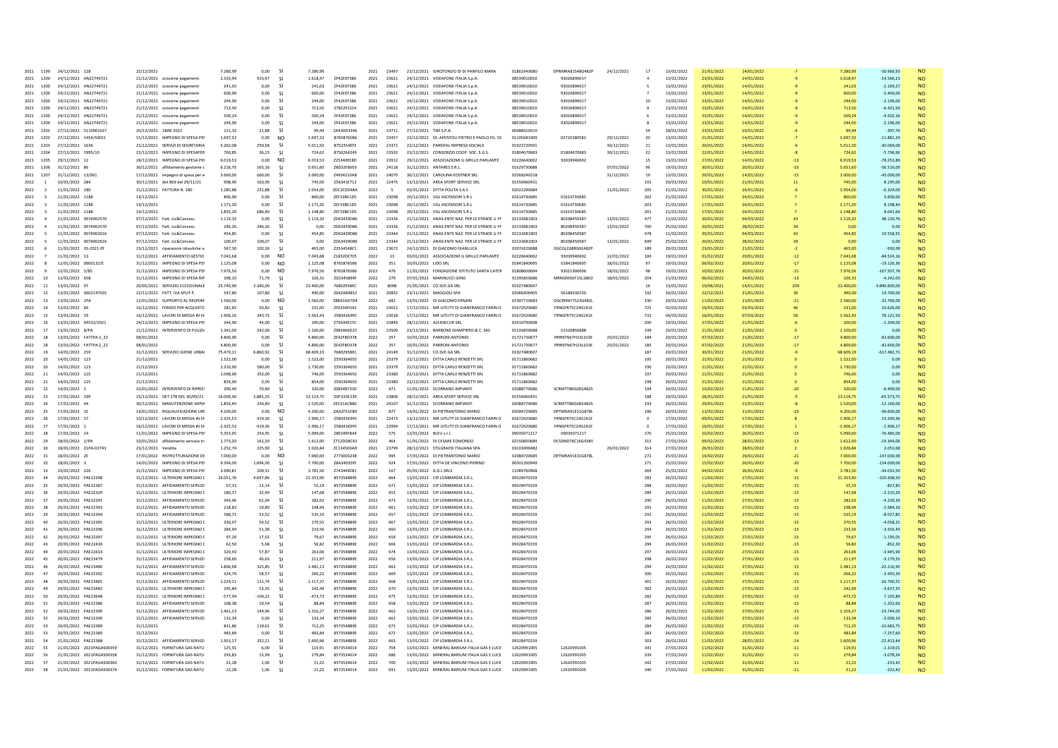| 2021<br>1199                                              | 24/12/2021 128                           | 22/12/2021                                 | 7 280 99             | 0.00             | <b>S</b>             | 7 280 99             |                          | 2021         | 23497          |                                 | 23/12/2021 GIROTONDO DI DI PANEILO MARA      | 01861940680                | DPNMRAR1S48G482P           | 24/12/2021 | 17                 | 13/01/2022               | 21/01/2022               | 14/01/2022               |       | 7 280 99          | 50.966.93            | <b>NO</b>              |
|-----------------------------------------------------------|------------------------------------------|--------------------------------------------|----------------------|------------------|----------------------|----------------------|--------------------------|--------------|----------------|---------------------------------|----------------------------------------------|----------------------------|----------------------------|------------|--------------------|--------------------------|--------------------------|--------------------------|-------|-------------------|----------------------|------------------------|
| 1200<br>2021                                              | 24/12/2021 AN22749721                    | 21/12/2021 scissione pagament              | 2.533.94             | 915,47           | <b>SI</b>            | 1.618,47             | ZF42EEF386               | 2021         | 23621          |                                 | 24/12/2021 VODAFONE ITALIA S.p.A.            | 08539010010                | 93026890017                |            |                    | 13/01/2022               | 23/01/2022               | 14/01/2022               |       | 1.618,47          | $-14.566.23$         | <b>NO</b>              |
| 2021<br>1200                                              | 24/12/2021 AN22749721                    | 21/12/2021 scissione pagament              | 241,03               | 0,00             | <sup>SI</sup>        | 241,03               | ZF42EEF386               | 2021         | 23621          |                                 | 24/12/2021 VODAFONE ITALIA S.p.A             | 08539010010                | 93026890017                |            |                    | 13/01/2022               | 23/01/2022               | 14/01/2022               |       | 241.03            | $-2.169.27$          | <b>NO</b>              |
| 2021<br>1200                                              | 24/12/2021 AN22749721                    | 21/12/2021 scissione pagament              | 600.00               | 0.00             | -SI                  | 600.00               | ZF42EEF386               | 2021         | 23621          |                                 | 24/12/2021 VODAFONE ITALIA S.p.A.            | 08539010010                | 93026890017                |            |                    | 13/01/2022               | 23/01/2022               | 14/01/2022               |       | 600.00            | $-5.400.00$          | <b>NO</b>              |
| 2021<br>1200                                              | 24/12/2021 AN22749721                    | 21/12/2021 scissione pagament              | 244.00               | 0.00             | <b>SI</b>            | 244.00               | ZF42EEF386               | 2021         | 23621          |                                 | 24/12/2021 VODAFONE ITALIA S.p.A.            | 08539010010                | 93026890017                |            | 10                 | 13/01/2022               | 23/01/2022               | 14/01/2022               |       | 244.00            | $-2.196.00$          | <b>NO</b>              |
| 2021<br>1200                                              | 24/12/2021 AN22749721                    | 21/12/2021 scissione pagament              | 713.50               | 0.00             | -SI                  | 713,50               | Z7822F3154               | 2021         | 23621          |                                 | 24/12/2021 VODAFONE ITALIA S.p.A.            | 08539010010                | 93026890017                |            |                    | 13/01/2022               | 23/01/2022               | 14/01/2022               |       | 713.50            | $-6.421.50$          | <b>NO</b>              |
| 2021<br>1200                                              | 24/12/2021 AN22749721                    | 21/12/2021 scissione pagamenti             | 500.24               | 0.00             | -SI                  | 500.24               | ZF42EEF386               | 2021         | 23621          |                                 | 24/12/2021 VODAFONE ITALIA S.p.A.            | 08539010010                | 93026890017                |            |                    | 13/01/2022               | 23/01/2022               | 14/01/2022               |       | 500.24            | $-4.502.16$          | NO.                    |
| 2021<br>1200                                              | 24/12/2021 AN22749721                    | 21/12/2021 scissione pagament              | 244.00               | 0.00             | <b>SI</b>            | 244.00               | ZF42EEF386               | 2021         | 23621          | 24/12/2021                      | VODAFONE ITALIA S.p.A                        | 08539010010                | 93026890017                |            |                    | 13/01/2022               | 23/01/2022               | 14/01/2022               |       | 244.00            | $-2.196.00$          | <b>NO</b>              |
| 2021<br>1201                                              | 27/12/2021 5110001627                    | 20/12/2021 1BIM 2022                       | 121 32               | 21.88            | $\mathsf{S}$         | 99.44                | <b>70430D3346</b>        | 2021         | 23711          | 27/12/2021 TIM S P A            |                                              | 00488410010                |                            |            | 54                 | 18/01/2022               | 23/01/2022               | 19/01/2022               |       | 99.44             | $-397.76$            | <b>NO</b>              |
| 2021<br>1202                                              | 27/12/2021 1454/SSE01                    | 15/12/2021 IMPEGNO DI SPESA PEI            | 1 697 32             | 0.00             | N <sub>O</sub>       | 1.697.32             | 87658765B6               | 2021         | 23457          |                                 | 22/12/2021 SS APOSTOLL PIFTRO F PAOLO FIL DO | 01105681009                | 02710380581                | 29/12/2021 | 20                 | 13/01/2022               | 21/01/2022               | 14/01/2022               |       | 1.697.32          | $-11.881.24$         | <b>NO</b>              |
| 2021<br>1203                                              | 27/12/2021 1636                          | 21/12/2021 SERVIZI DI SEGRETARIA           | 5.262,08             | 250,58           | - SI                 | 5.011,50             | 8752354EFE               | 2021         | 23371          |                                 | 22/12/2021 PARSIFAL IMPRESA SOCIALE          | 01923720591                |                            | 30/12/2021 | 21                 | 13/01/2022               | 20/01/2022               | 14/01/2022               |       | 5.011,50          | $-30.069,00$         | <b>NO</b>              |
| 2021<br>1204                                              | 27/12/2021 1995/10                       | 22/12/2021 IMPEGNO DI SPESAPER             | 760.85               | 36.23            | - SI                 | 724.62               | 8750264249               | 2021         | 23502          |                                 | 23/12/2021 CONSORZIO COOP, SOC. S.G.S.       | 01804670683                | 01804670683                | 30/12/2021 | 22                 | 13/01/2022               | 22/01/2022               | 14/01/2022               |       | 724.62            | $-5.796.96$          | <b>NO</b>              |
| 2021<br>1205                                              | 29/12/2021 12                            | 28/12/2021 IMPEGNO DI SPESA PEI            | 6.019.53             | 0.00             | N <sub>O</sub>       | 6.019.53             | Z25340EE8D               | 2021         | 23912          |                                 | 29/12/2021 ASSOCIAZIONE IL GRILLO PARLANTE   | 02226640692                | 93039940692                |            | 15                 | 13/01/2022               | 27/01/2022               | 14/01/2022               |       | 6.019.53          | $-78.253.89$         | <b>NO</b>              |
| 2021<br>1206                                              | 31/12/2021                               | 30/12/2021 affidamento gestione:           | 6.216,76             | 565,16           | - SI                 | 5.651,60             | Z8D32F86E6               | 2021         | 24118          | 31/12/2021                      | ANTARES S.R.L                                | 01629730688                |                            | 07/01/2022 | 96                 | 19/01/2022               | 30/01/2022               | 20/01/2022               |       | 5.651.60          | $-56.516,00$         | <b>NO</b>              |
| 2021<br>1207                                              | 31/12/2021 13/001                        | 17/12/2021 impegno di spesa per e          | 3,660.00             | 660.00<br>163.90 | -SI                  | 3,000.00             | Z4934210AB               | 2021         | 24070          |                                 | 30/12/2021 CAROLINA KOSTNER SRL              | 02568240218<br>01556960431 |                            | 31/12/2021 | 19                 | 13/01/2022<br>20/01/2022 | 29/01/2022<br>10/01/2022 | 14/01/2022               |       | 3.000.00          | $-45.000.00$         | <b>NO</b>              |
| 2022<br><sup>1</sup>                                      | 10/01/2022 284                           | 30/11/2021 det 869 del 29/11/21            | 908.90               |                  | -SI                  | 745.00               | Z56341E712               | 2021         | 22475          |                                 | 13/12/2021 AREA SPORT SERVICE SRI            |                            |                            |            | 191                |                          |                          | 21/01/2022               |       | 745.00            | 8.195.00             | <b>NO</b>              |
| 2022<br>$\overline{2}$                                    | 11/01/2022 180                           | 31/12/2021 FATTURA N. 180                  | 1.285,88             | 231.88           | - SI                 | 1.054,00             | ZDC2CED4BA               | 2022         | 5              | 03/01/2022 DITTA POLITA S.A.S.  |                                              | 02022290684                |                            | 11/01/2022 | 205                | 21/01/2022               | 30/01/2022               | 24/01/2022               |       | 1.054,00          | $-6.324,00$          | <b>NO</b>              |
| 2022<br>$\mathbf{R}$<br>2022                              | 11/01/2022 1188<br>11/01/2022            | 14/12/2021<br>14/12/2021                   | 800.00<br>1.171.20   | 0.00<br>0.00     | - SI<br><b>SI</b>    | 800.00<br>1.171.20   | ZEE33RE1D5<br>ZEF33BE1D5 | 2021<br>2021 | 23098<br>23098 | 20/12/2021 VGL ASCENSORLS R L   | VGL ASCENSORI S.R.L                          | 01614730685<br>01614730685 | 01614730685<br>01614730685 |            | 202<br>203         | 21/01/2022<br>21/01/2022 | 17/01/2022<br>17/01/2022 | 24/01/2022<br>24/01/2022 |       | 80000<br>1.171.20 | 5,600.00<br>8.198.40 | <b>NO</b><br><b>NO</b> |
| $\overline{\mathbf{3}}$                                   |                                          |                                            |                      | 686,40           |                      |                      | ZEE33RE1D5               | 2021         | 23098          | 20/12/2021<br>20/12/2021        | VGL ASCENSORLS R.L                           | 01614730685                | 01614730685                |            |                    |                          | 17/01/2022               |                          |       | 1 148 80          | 8.041.60             |                        |
| 2022<br>$\overline{\mathbf{3}}$<br>2022<br>$\overline{4}$ | 11/01/2022 1188<br>11/01/2022 0074002570 | 14/12/2021<br>07/12/2021 Fatt, Lic&Concess | 1.835,20<br>1.119.32 | 0.00             | <sup>SI</sup><br>-SI | 1.148,80<br>1.119.32 | ZD63439D86               | 2021         | 23336          |                                 | 21/12/2021 ANAS-ENTE NAZ. PER LE STRADE U FF | 02133681003                | 80208450587                | 13/01/2022 | ${\bf 201}$<br>477 | 21/01/2022<br>11/02/2022 | 20/01/2022               | 24/01/2022<br>04/03/2022 |       | 1.119.32          | 48.130.76            | <b>NO</b><br><b>NO</b> |
| 2022                                                      | 11/01/2022 0074002570                    | 07/12/2021 Fatt. Lic&Concess               | 246,26               | 246,26           | <b>SI</b>            | 0,00                 | ZD63439D86               | 2021         | 23336          |                                 | 21/12/2021 ANAS-ENTE NAZ. PER LE STRADE U FF | 02133681003                | 80208450587                | 13/01/2022 | 700                | 25/02/2022               | 20/01/2022               | 28/02/2022               |       | 0,00              | 0,00                 | <b>NO</b>              |
| 2022<br>5                                                 | 11/01/2022 0074002616                    | 07/12/2021 Fatt. Lic&Concess               | 454,85               | 0.00             | -SI                  | 454,85               | ZD63439D86               | 2021         | 23344          |                                 | 21/12/2021 ANAS-ENTE NAZ. PER LE STRADE U FF | 02133681003                | 80208450587                |            | 478                | 11/02/2022               | 20/01/2022               | 04/03/2022               |       | 454,85            | 19.558.55            | <b>NO</b>              |
| 2022                                                      | 11/01/2022 0074002616                    | 07/12/2021 Fatt, Lic&Concess.              | 100.07               | 100.07           | <b>SI</b>            | 0.00                 | ZD63439D86               | 2021         | 23344          |                                 | 21/12/2021 ANAS-ENTE NAZ. PER LE STRADE U FF | 02133681003                | 80208450587                | 13/01/2022 | 699                | 25/02/2022               | 20/01/2022               | 28/02/2022               |       | 0.00              | 0.00                 | <b>NO</b>              |
| -5<br>2022                                                | 11/01/2022 35-2021-FE                    | 23/12/2021 riparazioni idrauliche          | 567,30               | 102,30           | <b>SI</b>            | 465,00               | Z3534548C1               | 2021         | 23672          |                                 | 24/12/2021 DI GIACOMO GIANLUCI               | 02074220688                | DGCGLC68R30G482            |            | 189                | 20/01/2022               | 23/01/2022               | 21/01/2022               |       | 465,00            | $-930,00$            | <b>NO</b>              |
| 2022<br>$\overline{7}$                                    | 11/01/2022 13                            | 31/12/2021 AFFIDAMENTO GESTIO              | 7.043.68             | 0.00             | N <sub>O</sub>       | 7.043.68             | 71832DF705               | 2022         | 13             |                                 | 03/01/2022 ASSOCIAZIONE IL GRILLO PARLANTE   | 02226640692                | 599040692                  | 12/01/2022 | 100                | 19/01/2022               | 01/02/2022               | 20/01/2022               | $-12$ | 7.043.68          | $-8452416$           | <b>NO</b>              |
| 2022<br>$\mathbf{R}$                                      | 12/01/2022 0000132/E                     | 31/12/2021 IMPEGNO DI SPESA PEI            | 1 1 2 5 0 8          | 0.00             | N <sub>O</sub>       | 1.125.08             | 87658765B6               | 2022         | 351            | 10/01/2022 LIDO SRL             |                                              | 01841840695                | 01841840695                | 18/01/2022 | 97                 | 19/01/2022               | 06/02/2022               | 20/01/2022               | $-17$ | 1.125.08          | $-19.126.36$         | <b>NO</b>              |
| 2022<br>9                                                 | 12/01/2022 5/85                          | 31/12/2021 IMPEGNO DI SPESA PEI            | 7.976.56             | 0.00             | N <sub>O</sub>       | 7.976.56             | 87658765B6               | 2022         | 476            |                                 | 11/01/2022 FONDAZIONE ISTITUTO SANTA CATER   | 01808600694                | 93021900696                | 18/01/2022 | 98                 | 19/01/2022               | 10/02/2022               | 20/01/2022               | $-21$ | 7.976,56          | $-167.507.76$        | <b>NO</b>              |
| 2022<br>10                                                | 12/01/2022 658                           | 31/12/2021 IMPEGNO DI SPESA RIF            | 398.10               | 71.79            | $\mathsf{S}$         | 32631                | <b>7D2345899F</b>        | 2022         | 279            | 07/01/2022 MARINUCCI GINO       |                                              | 01395850686                | <b>MRNGNIS6T15L186O</b>    | 18/01/2022 | 204                | 21/01/2022               | 06/02/2022               | 24/01/2022               | $-13$ | 326.31            | $-424203$            | <b>NO</b>              |
| 2022<br>11                                                | 13/01/2022 97                            | 20/05/2021 SERVIZIO ECCEZIONALE            | 25.740,00            | 2.340,00         | <b>SI</b>            | 23.400,00            | 7680295BEC               | 2021         | 8098           | 21/05/2021 CO.SVE.GA SRL        |                                              | 01927480697                |                            |            | 16                 | 13/01/2022               | 19/06/2021               | 14/01/2022               | 209   | 23.400,00         | 4.890.600,00         | <b>NO</b>              |
| 2022<br>12                                                | 13/01/2022 0002147035                    | 22/11/2021 FATT. IVA SPLIT P.              | 597.80               | 107.80           | -SI                  | 490.00               | 7642A84852               | 2021         | 20852          | 23/11/2021                      | MAGGIOLI SPA                                 | 02066400405                | 06188330150                |            | 192                | 20/01/2022               | 22/12/2021               | 21/01/2022               | 30    | 490.00            | 14,700.00            | <b>NO</b>              |
| 2022<br>13                                                | 13/01/2022 1PA                           | 12/01/2022 SUPPORTO AL RESPON              | 1.560.00             | 0.00             | N <sub>O</sub>       | 1.560.00             | Z8B31AD7D4               | 2022         | 681            | 13/01/2022 DI GIACOMO ERNANI    |                                              | 01907710683                | DGCRNN77S23G482L           |            | 190                | 20/01/2022               | 11/02/2022               | 21/01/2022               | $-21$ | 1.560.00          | $-32.760.00$         | <b>NO</b>              |
| 2022<br>14                                                | 13/01/2022 60                            | 16/12/2021 FONDO PER ACQUISTO              | 281.82               | 50,82            | <b>SI</b>            | 231.00               | ZF0334FD42               | 2021         | 23021          |                                 | 17/12/2021 MR UITLITY DI GIANFRANCO FARIN O  | 01672020680                | FRNGFR75C24G141E           |            | 725                | 02/03/2022               | 16/01/2022               | 03/03/2022               |       | 231.00            | 10.626.00            | <b>NO</b>              |
| 2022<br>15                                                | 13/01/2022 59                            | 16/12/2021 LAVORI DI MESSA IN SI           | 1906 16              | 343.73           | <sup>SI</sup>        | 1.562.43             | 75834169F0               | 2021         | 23018          |                                 | 17/12/2021 MR UITLITY DI GIANFRANCO FARIN O  | 01672020680                | FRNGFR75C24G141E           |            | 732                | 04/03/2022               | 16/01/2022               | 07/03/2022               |       | 1.562.43          | 78.121.50            | <b>NO</b>              |
| 2022<br>16                                                | 13/01/2022 04532/2021                    | 24/12/2021 IMPEGNO DI SPESA PEI            | 244.00               | 44.00            | -SI                  | 200.00               | Z79344E27C               | 2021         | 23840          | 28/12/2021 ALFASECUR SRL        |                                              | 01910790698                |                            |            | 200                | 20/01/2022               | 27/01/2022               | 21/01/2022               |       | 200.00            | $-1.200.00$          | <b>NO</b>              |
| 2022<br>17                                                | 13/01/2022 8/PA                          | 21/12/2021 INTERVENTO DI PULIZI            | 1.342.00             | 242.00           | <b>SI</b>            | 1,100.00             | Z983466D25               | 2021         | 23500          |                                 | 23/12/2021 BARBONE GIAMPIERO & C. SAS        | 01526850688                | 01526850688                |            | 199                | 20/01/2022               | 21/01/2022               | 21/01/2022               |       | 1.100.00          | 0.00                 | <b>NO</b>              |
| 2022<br>18                                                | 13/01/2022 FATTPA 2 22                   | 08/01/2022                                 | 4,800.00             | 0.00             | -SI                  | 4.800.00             | 7F42FRD378               | 2022         | 357            | 10/01/2022 PARRONI ANTONIC      |                                              | 01721730677                | PRRNTN67H23L103E           | 20/01/2022 | 184                | 20/01/2022               | 07/02/2022               | 21/01/2022               |       | 4,800.00          | $-81.600,00$         | <b>NO</b>              |
| 18<br>2022                                                | 13/01/2022 FATTPA 2 22                   | 08/01/2022                                 | 4,800.00             | 0.00             | - SI                 | 4,800.00             | ZE42FBD378               | 2022         | 357            | 10/01/2022 PARRONI ANTONIO      |                                              | 01721730677                | PRRNTN67H23L103E           | 20/01/2022 | 185                | 20/01/2022               | 07/02/2022               | 21/01/2022               |       | 4,800.00          | $-81,600,00$         | <b>NO</b>              |
| 2022<br>19                                                | 14/01/2022 259                           | 31/12/2021 SERVIZIO IGIENE URBA            | 75.470,11            | 6.860,92         | <b>SI</b>            | 68.609,19            | 7680295BEC               | 2021         | 24149          | 31/12/2021 CO.SVE.GA SRL        |                                              | 01927480697                |                            |            | 187                | 20/01/2022               | 30/01/2022               | 21/01/2022               |       | 68.609,19         | $-617.482,71$        | <b>NO</b>              |
| 2022<br>20                                                | 14/01/2022 123                           | 21/12/2021                                 | 1,522.00             | 0.00             | -SI                  | 1.522.00             | 7593364050               | 2021         | 23379          |                                 | 22/12/2021 DITTA CARLO RENZETTI SRL          | 01711860682                |                            |            | 195                | 20/01/2022               | 21/01/2022               | 21/01/2022               |       | 1.522.00          | 0.00                 | <b>NO</b>              |
| 2022<br>20                                                | 14/01/2022 123                           | 21/12/2021                                 | 2.310,00             | 580,00           | -SI                  | 1.730,00             | Z593364050               | 2021         | 23379          |                                 | 22/12/2021 DITTA CARLO RENZETTI SRL          | 01711860682                |                            |            | 196                | 20/01/2022               | 21/01/2022               | 21/01/2022               |       | 1.730,00          | 0.00                 | <b>NO</b>              |
| 2022<br>21                                                | 14/01/2022 125                           | 21/12/2021                                 | 1.098,00             | 352,00           | <b>SI</b>            | 746,00               | Z593364050               | 2021         | 23380          |                                 | 22/12/2021 DITTA CARLO RENZETTI SRI          | 01711860682                |                            |            | 197                | 20/01/2022               | 21/01/2022               | 21/01/2022               |       | 746,00            | 0,00                 | <b>NO</b>              |
| 2022<br>21                                                | 14/01/2022 125                           | 21/12/2021                                 | 854.00               | 0.00             | -SI                  | 854.00               | 7593364050               | 2021         | 23380          |                                 | 22/12/2021 DITTA CARLO RENZETTI SRI          | 01711860682                |                            |            | 198                | 20/01/2022               | 21/01/2022               | 21/01/2022               |       | 854.00            | 0.00                 | <b>NO</b>              |
| 2022<br>22                                                | 14/01/2022 1                             | 10/01/2022 INTERVENTO DI RIPRIS            | 390.40               | 70.40            | -SI                  | 320.00               | Z08348733D               | 2022         | 471            | 11/01/2022 SCORRANO IMPIANTI    |                                              | 02088770686                | SCRMTT86D28G4829           |            | 194                | 20/01/2022               | 10/02/2022               | 21/01/2022               |       | 320.00            | $-6.400.00$          | <b>NO</b>              |
| 2022<br>23                                                | 17/01/2022 299                           | 23/12/2021 DET 278 DEL 30/09/21            | 16,000.00            | 2.885,25         | <b>SI</b>            | 13.114,75            | ZDF333E239               | 2021         | 23806          |                                 | 28/12/2021 AREA SPORT SERVICE SRI            | 01556960431                |                            |            | 188                | 20/01/2022               | 26/01/2022               | 21/01/2022               |       | 13.114,75         | $-65.573,75$         | <b>NO</b>              |
| 2022<br>24                                                | 17/01/2022 44                            | 30/12/2021 MANUTENZIONE IMPIA              | 1.854.40             | 334.40           | - SI                 | 1.520.00             | ZEC31ACBBC               | 2021         | 24107          | 31/12/2021 SCORRANO IMPIANTI    |                                              | 02088770686                | SCRMTT86D28G482S           |            | 193                | 20/01/2022               | 29/01/2022               | 21/01/2022               |       | 1,520,00          | $-12,160,00$         | <b>NO</b>              |
| 2022<br>25                                                | 17/01/2022 1E                            | 14/01/2022 RIQUALIFICAZIONE URI            | 4.200.00             | 0.00             | N <sub>O</sub>       | 4,200.00             | ZAA2F51EB9               | 2022         | 877            |                                 | 14/01/2022 DI PIETRANTONIO MARIO             | 02084720685                | DPTMRA91E31G878            |            | 186                | 20/01/2022               | 13/02/2022               | 21/01/2022               |       | 4.200.00          | $-96,600,00$         | <b>NO</b>              |
| 2022<br>26                                                | 17/01/2022 57                            | 10/12/2021 LAVORI DI MESSA IN SI           | 2.325,53             | 419,36           | <sup>SI</sup>        | 1.906,17             | Z5B34169F0               | 2021         | 22473          |                                 | 13/12/2021 MR UITLITY DI GIANFRANCO FARIN O  | 01672020680                | FRNGFR75C24G141            |            | $\Omega$           | 17/01/2022               | 09/01/2022               | 17/01/2022               |       | 1.906,17          | 15.249,36            | <b>NO</b>              |
| 2022<br>27                                                | 17/01/2022 1                             | 16/12/2021 LAVORI DI MESSA IN SI           | $-2.325.53$          | $-419.36$        | - SI                 | $-1.906.17$          | Z5B34169F0               | 2021         | 22994          |                                 | 17/12/2021 MR UITLITY DI GIANFRANCO FARIN O  | 01672020680                | FRNGFR75C24G141E           |            |                    | 17/01/2022               | 16/01/2022               | 17/01/2022               |       | $-1.906.17$       | $-1.906.17$          | <b>NO</b>              |
| 2022<br>28                                                | 17/01/2022 24                            | 11/01/2022 IMPEGNO DI SPESA PEI            | 5.353,95             | 254,95           | <b>SI</b>            | 5.099,00             | Z8E349FB44               | 2022         | 575            | 12/01/2022 BLEU s.r.l           |                                              | 09035071217                | 09035071217                |            | 270                | 25/01/2022               | 10/02/2022               | 26/01/2022               |       | 5.099,00          | $-76.485,00$         | <b>NO</b>              |
| 2022<br>29                                                | 18/01/2022 2/PA                          | 10/01/2022 affidamento servizio tr         | 1,773.20             | 161,20           | - SI                 | 1.612,00             | Z712DD8C43               | 2022         | 464            |                                 | 11/01/2022 DI CESARE EDMONDO                 | 02150850689                | DCSDND76C16G438Y           |            | $315\,$            | 27/01/2022               | 09/02/2022               | 28/01/2022               | $-12$ | 1.612,00          | $-19.344.00$         | <b>NO</b>              |
| 2022<br>30                                                | 18/01/2022 21PA-02743                    | 23/12/2021 Vendita                         | 1.252.74             | 225.90           | - SI                 | 1.026.84             | ZC134500AD               | 2021         | 23799          |                                 | 28/12/2021 STILGRAFIX ITALIANA SPA           | 03103490482                |                            | 26/01/2022 | 314                | 27/01/2022               | 26/01/2022               | 28/01/2022               |       | 1.026.84          | 2.053.68             | <b>NO</b>              |
| 2022<br>31                                                | 18/01/2022 2E                            | 17/01/2022 RISTRUTTURAZIONE D              | 7.000,00             | 0,00             | N <sub>O</sub>       | 7.000,00             | 2773003238               | 2022         | 995            |                                 | DI PIETRANTONIO MARIO                        | 02084720685                | DPTMRA91E31G878            |            | 272                | 25/01/2022               | 16/02/2022               | 26/01/2022               | $-21$ | 7.000,00          | $-147.000,00$        | <b>NO</b>              |
| 2022<br>32                                                | 18/01/2022 3                             | 14/01/2022 IMPEGNO DI SPESA PEI            | 9.394.00             | 1.694.00         | - SI                 | 7.700.00             | <b>78434035FF</b>        | 2022         | 924            |                                 | 17/01/2022 DITTA DE VINCENZI PIERINO         | 00301260949                |                            |            | 271                | 25/01/2022               | 15/02/2022               | 26/01/2022               | $-20$ | 7.700.00          | $-154,000,00$        | <b>NO</b>              |
| 33<br>2022                                                | 19/01/2022 226                           | 31/12/2021 IMPEGNO DI SPESA PEI            | 3,990.81             | 209.31           | -SI                  | 3,781.50             | Z743449C81               | 2022         | 167            | 05/01/2022 ADISRIS              |                                              | 11089760968                |                            |            | 269                | 25/01/2022               | 04/02/2022               | 26/01/2022               |       | 3.781.50          | $-34.033.50$         | <b>NO</b>              |
| 2022<br>34                                                | 20/01/2022 PAE2239I                      | 31/12/2021 ULTERIORE IMPEGNO               | 26.051.76            | 4.697.86         | <sup>SI</sup>        | 21.353,90            | 8573548B9E               | 2022         | 664            | 13/01/2022 CIP LOMBARDIA S.R.L  |                                              | 09328470159                |                            |            | 282                | 26/01/2022               | 11/02/2022               | 27/01/2022               |       | 21.353,90         | $-320.308,50$        | <b>NO</b>              |
| 2022<br>35                                                | 20/01/2022 PAF22387                      | 31/12/2021 AFFIDAMENTO SERVIZI             | 6733                 | 12 14            | $\mathsf{S}$         | 55.19                | 8573548B9F               | 2022         | 671            | 13/01/2022 CIP LOMBARDIA S.R.I. |                                              | 09328470159                |                            |            | 288                | 26/01/2022               | 11/02/2022               | 27/01/2022               | $-15$ | 55.19             | $-827.85$            | <b>NO</b>              |
| 2022<br>36                                                | 20/01/2022 PAE22329                      | 31/12/2021 ULTERIORE IMPEGNO               | 180,17               | 32,49            | <b>SI</b>            | 147,68               | 8573548B9E               | 2022         | 655            | 13/01/2022 CIP LOMBARDIA S.R.L  |                                              | 09328470159                |                            |            | 289                | 26/01/2022               | 11/02/2022               | 27/01/2022               | $-15$ | 147,68            | $-2.215,20$          | <b>NO</b>              |
| 2022<br>37                                                | 20/01/2022<br>PAE2239                    | 31/12/2021 AFFIDAMENTO SERVIZ              | 344,06               | 62,04            | <sup>SI</sup>        | 282,02               | 8573548B98               | 2022         | 673            |                                 | 13/01/2022 CIP LOMBARDIA S.R.L               | 09328470159                |                            |            | 290                | 26/01/2022               | 11/02/2022               | 27/01/2022               |       | 282,02            | $-4.230,30$          | <b>NO</b>              |
| 2022<br>38                                                | 20/01/2022 PAE22393                      | 31/12/2021 AFFIDAMENTO SERVIZI             | 218.83               | 19.89            | -SI                  | 198.94               | 8573548B9E               | 2022         | 661            | 13/01/2022 CIP LOMBARDIA S.R.L  |                                              | 09328470159                |                            |            | 291                | 26/01/2022               | 11/02/2022               | 27/01/2022               | $-15$ | 198.94            | $-2.984.10$          | <b>NO</b>              |
| 2022<br>39                                                | 20/01/2022 PAE22394                      | 31/12/2021 AFFIDAMENTO SERVIZI             | 588.71               | 53.52            | -SI                  | 535,19               | 8573548B9E               | 2022         | 657            | 13/01/2022 CIP LOMBARDIA S.R.L  |                                              | 09328470159                |                            |            | 292                | 26/01/2022               | 11/02/2022               | 27/01/2022               | $-15$ | 535.19            | $-8.027.85$          | <b>NO</b>              |
| 2022<br>40                                                | 20/01/2022 PAE22395                      | 31/12/2021 ULTERIORE IMPEGNO               | 330,07               | 59,52            | - SI                 | 270,55               | 8573548B9E               | 2022         | 667            | 13/01/2022 CIP LOMBARDIA S.R.L  |                                              | 09328470159                |                            |            | 293                | 26/01/2022               | 11/02/2022               | 27/01/2022               |       | 270,55            | $-4.058,25$          | <b>NO</b>              |
| 2022<br>41                                                | 20/01/2022 PAE22396                      | 31/12/2021 ULTERIORE IMPEGNO I             | 284.94               | 51.38            | - SI                 | 233.56               | 8573548B9E               | 2022         | 660            | 13/01/2022 CIP LOMBARDIA S.R.L  |                                              | 09328470159                |                            |            | 294                | 26/01/2022               | 11/02/2022               | 27/01/2022               | $-15$ | 233.56            | $-3.503.40$          | <b>NO</b>              |
| 2022<br>42                                                | 20/01/2022 PAE22391                      | 31/12/2021 ULTERIORE IMPEGNO               | 97.20                | 17.53            | <b>SI</b>            | 79.67                | 8573548B98               | 2022         | 659            |                                 | 13/01/2022 CIP LOMBARDIA S.R.L               | 09328470159                |                            |            | 295                | 26/01/2022               | 11/02/2022               | 27/01/2022               | $-15$ | 79.67             | $-1.195.05$          | <b>NO</b>              |
| 2022<br>43                                                | 20/01/2022 PAE22430                      | 31/12/2021 ULTERIORE IMPEGNO               | 62.50                | 5,68             | -SI                  | 56,82                | 8573548B9F               | 2022         | 666            | 13/01/2022 CIP LOMBARDIA S.R.L  |                                              | 09328470159                |                            |            | 296                | 26/01/2022               | 11/02/2022               | 27/01/2022               | $-15$ | 56.82             | $-852.30$            | <b>NO</b>              |
| 44<br>2022                                                | 20/01/2022 PAE22633                      | 31/12/2021 ULTERIORE IMPEGNO I             | 320.93               | 57.87            | -SI                  | 263.06               | 8573548B9F               | 2022         | 674            | 13/01/2022 CIP LOMBARDIA S.R.L  |                                              | 09328470159                |                            |            | 297                | 26/01/2022               | 11/02/2022               | 27/01/2022               | $-15$ | 263.06            | $-3.945.90$          | <b>NO</b>              |
| 2022<br>45                                                | 20/01/2022 PAE23479                      | 31/12/2021 AFFIDAMENTO SERVIZ              | 258,60               | 46,63            | s                    | 211,97               | 8573548B9E               | 2022         | 656            |                                 | 13/01/2022 CIP LOMBARDIA S.R.L               | 09328470159                |                            |            | 298                | 26/01/2022               | 11/02/2022               | 27/01/2022               | $-15$ | 211,97            | $-3.179,55$          | <b>NO</b>              |
| 2022<br>46                                                | 20/01/2022 PAE23480                      | 31/12/2021 AFFIDAMENTO SERVIZI             | 1.806.98             | 325,85           | -SI                  | 1.481,13             | 8573548B9E               | 2022         | 663            | 13/01/2022 CIP LOMBARDIA S.R.L  |                                              | 09328470159                |                            |            | 299                | 26/01/2022               | 11/02/2022               | 27/01/2022               | $-15$ | 1.481,13          | $-22.216,95$         | <b>NO</b>              |
| 2022<br>47                                                | 20/01/2022 PAE22392                      | 31/12/2021 AFFIDAMENTO SERVIZI             | 324,79               | 58,57            | <b>SI</b>            | 266,22               | 8573548B9E               | 2022         | 669            | 13/01/2022 CIP LOMBARDIA S.R.L  |                                              | 09328470159                |                            |            | 300                | 26/01/2022               | 11/02/2022               | 27/01/2022               | $-15$ | 266,22            | $-3.993,30$          | <b>NO</b>              |
| 2022<br>48                                                | 20/01/2022<br>PAE2348                    | 31/12/2021 AFFIDAMENTO SERVIZ              | 1.229,11             | 111,74           | <b>SI</b>            | 1.117,37             | 8573548B98               | 2022         | 668            |                                 | 13/01/2022 CIP LOMBARDIA S.R.L               | 09328470159                |                            |            | 301                | 26/01/2022               | 11/02/2022               | 27/01/2022               |       | 1.117,37          | $-16.760,55$         | <b>NO</b>              |
| 2022<br>49                                                | 20/01/2022 PAF23482                      | 31/12/2021 ULTERIORE IMPEGNO I             | 295.84               | 53.35            | -SI                  | 242.49               | 8573548R9F               | 2022         | 670            | 13/01/2022 CIP LOMBARDIA S.R.L  |                                              | 09328470159                |                            |            | 302                | 26/01/2022               | 11/02/2022               | 27/01/2022               | $-15$ | 242.49            | $-363735$            | <b>NO</b>              |
| 2022<br>50                                                | 20/01/2022 PAE23648                      | 31/12/2021 ULTERIORE IMPEGNO               | $-577.94$            | $-104.22$        | -SI                  | $-473.72$            | 8573548B9E               | 2022         | 675            | 13/01/2022 CIP LOMBARDIA S.R.L  |                                              | 09328470159                |                            |            | 282                | 26/01/2022               | 11/02/2022               | 27/01/2022               | $-15$ | $-473.72$         | 7.105.80             | <b>NO</b>              |
| 2022<br>51                                                | 20/01/2022 PAE22386                      | 31/12/2021 AFFIDAMENTO SERVIZ              | 108,38               | 19,54            | <b>SI</b>            | 88,84                | 8573548B9E               | 2022         | 658            | 13/01/2022 CIP LOMBARDIA S.R.L  |                                              | 09328470159                |                            |            | 287                | 26/01/2022               | 11/02/2022               | 27/01/2022               |       | 88,84             | $-1.332,60$          | <b>NO</b>              |
| 2022<br>52                                                | 20/01/2022 PAF22390                      | 31/12/2021 AFFIDAMENTO SERVIZI             | 1 461 23             | 144 96           | -SI                  | 131627               | 8573548B9F               | 2022         | 662            | 13/01/2022 CIP LOMBARDIA S.R.I. |                                              | 09328470159                |                            |            | 286                | 26/01/2022               | 11/02/2022               | 27/01/2022               | $-15$ | 131627            | $-19,744,05$         | <b>NO</b>              |
| 2022<br>52                                                | 20/01/2022<br>PAE22390                   | 31/12/2021 AFFIDAMENTO SERVIZI             | 133.34               | 0.00             | <b>SI</b>            | 133.34               | 8573548B98               | 2022         | 662            |                                 | 13/01/2022 CIP LOMBARDIA S.R.L               | 09328470159                |                            |            | 285                | 26/01/2022               | 11/02/2022               | 27/01/2022               | $-15$ | 133.34            | $-2.000.10$          | <b>NO</b>              |
| 2022<br>53                                                | 20/01/2022 PAF22389                      | 31/12/2021                                 | 831.86               | 119,61           | -SI                  | 712,25               | 8573548B9F               | 2022         | 672            | 13/01/2022 CIP LOMBARDIA S.R.L  |                                              | 09328470159                |                            |            | 284                | 26/01/2022               | 11/02/2022               | 27/01/2022               | $-15$ | 712,25            | $-10.683.75$         | <b>NO</b>              |
| 2022<br>53                                                | 20/01/2022 PAE22389                      | 31/12/2021                                 | 483.84               | 0.00             | - SI                 | 483.84               | 8573548B9E               | 2022         | 672            | 13/01/2022 CIP LOMBARDIA S.R.L. |                                              | 09328470159                |                            |            | 283                | 26/01/2022               | 11/02/2022               | 27/01/2022               | $-15$ | 483.84            | $-7.257.60$          | <b>NO</b>              |
| 54<br>2022                                                | 21/01/2022 PAE22388                      | 31/12/2021 AFFIDAMENTO SERVIZI             | 1.953.17             | 352,21           | <b>SI</b>            | 1.600,96             | 8573548B9E               | 2022         | 665            | 13/01/2022 CIP LOMBARDIA S.R.L. |                                              | 09328470159                |                            |            | 303                | 26/01/2022               | 11/02/2022               | 28/01/2022               | $-14$ | 1.600,96          | $-22.413.44$         | <b>NO</b>              |
| 2022<br>55                                                | 21/01/2022 2021PAGAS00359                | 31/12/2021 FORNITURA GAS NATU              | 125.91               | 6.00             | - SI                 | 119.91               | 8573534014               | 2022         | 704            |                                 | 13/01/2022 MINERAL BARIUM ITALIA GAS E LUCE  | 12620991005                | 12620991005                |            | 341                | 27/01/2022               | 11/02/2022               | 31/01/2022               | $-11$ | 119,91            | $-1.319.01$          | <b>NO</b>              |
| 2022<br>56                                                | 21/01/2022 2021PAGAS00358                | 31/12/2021 FORNITURA GAS NATU              | 293.83               | 13.99            | -SI                  | 279.84               | 8573534014               | 2022         | 686            |                                 | 13/01/2022 MINERAL BARIUM ITALIA GAS E LUCE  | 12620991005                | 12620991005                |            | 339                | 27/01/2022               | 11/02/2022               | 31/01/2022               | $-11$ | 279.84            | $-3.078.24$          | <b>NO</b>              |
| 2022<br>57                                                | 21/01/2022 2021PAGAS00360                | 31/12/2021 FORNITURA GAS NATU              | 22.28                | 1.06             | <b>SI</b>            | 21.22                | 8573534014               | 2022         | 700            |                                 | 13/01/2022 MINERAL BARIUM ITALIA GAS E LUCE  | 12620991005                | 12620991005                |            | 342                | 27/01/2022               | 11/02/2022               | 31/01/2022               | $-11$ | 21.22             | $-233.42$            | <b>NO</b>              |
| 2022<br>58                                                | 21/01/2022 2021PAGAS00374                | 31/12/2021 FORNITURA GAS NATU              | 22.28                | 1.06             | -SI                  | 21.22                | 8573534014               | 2022         | 691            |                                 | 13/01/2022 MINERAL BARIUM ITALIA GAS E LUCE  | 12620991005                | 12620991005                |            | 340                | 27/01/2022               | 11/02/2022               | 31/01/2022               | $-11$ | 21.22             | $-23342$             | <b>NO</b>              |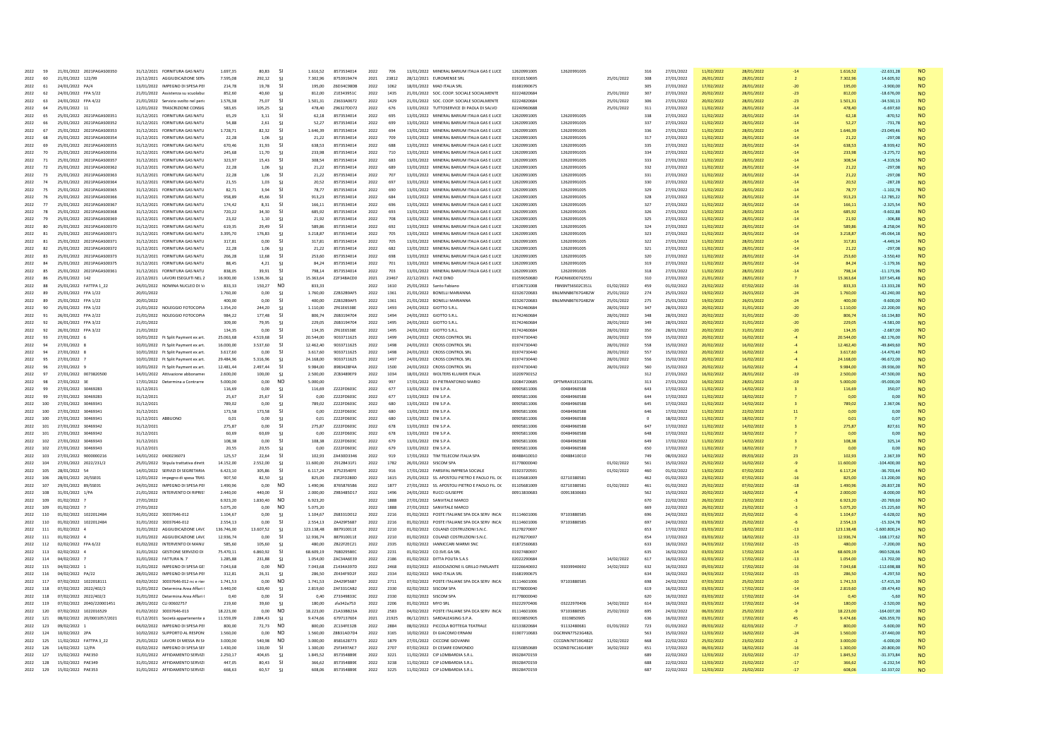| 2022     | 59  | 21/01/2022 2021PAGAS00350  | 31/12/2021              | <b>FORNITURA GAS NATU</b>            | 1.697.35   | 80.83     |                | 1.616.52   | 8573534014        | 2022 | 706   | MINERAL BARIUM ITALIA GAS E LUCE<br>13/01/2022 | 12620991005 | 12620991005      |            | 316     | 27/01/2022 | 11/02/2022 | 28/01/202  |       | 1.616.52   | $-22.631.28$    |           |
|----------|-----|----------------------------|-------------------------|--------------------------------------|------------|-----------|----------------|------------|-------------------|------|-------|------------------------------------------------|-------------|------------------|------------|---------|------------|------------|------------|-------|------------|-----------------|-----------|
| 2022     | 60  | 21/01/2022 122/99          |                         | 23/12/2021 AGGIUDICAZIONE SERV       | 7.595,08   | 292,12    | -SI            | 7.302,96   | 8753919474        | 2021 | 23812 | 28/12/2021 FUROMENSE SRI                       | 01910150695 |                  | 25/01/2022 | 308     | 27/01/2022 | 26/01/2022 | 28/01/2022 |       | 730296     | 14 605 92       | <b>NO</b> |
| 2022     | 61  | 24/01/2022 PA/4            |                         | 13/01/2022 IMPEGNO DI SPESA PEI      | 214,78     | 19,78     | -SI            | 195,00     | Z6D34C98DB        | 2022 | 1062  | 18/01/2022 MAD ITALIA SRL                      | 01681990675 |                  |            | 305     | 27/01/2022 | 17/02/2022 | 28/01/2022 | $-20$ | 195,00     | $-3.900.00$     | <b>NO</b> |
| 2022     | 62  | 24/01/2022 FPA 5/22        |                         | 21/01/2022 Assistenza su scuolabu    | 852,60     | 40,60     | -SI            | 812,00     | Z1E343951C        | 2022 | 1435  | 21/01/2022 SOC. COOP. SOCIALE SOCIALMENTE      | 02224820684 |                  | 25/01/2022 | 307     | 27/01/2022 | 20/02/2022 | 28/01/2022 |       | 812,00     | $-18.676,00$    | <b>NO</b> |
| 2022     | 63  | 24/01/2022 FPA 4/22        |                         | 21/01/2022 Servizio svolto nel peri  | 1.576.38   | 75.07     | -SI            | 1.501.31   | 7363340672        | 2022 | 1429  | 21/01/2022 SOC. COOP. SOCIALE SOCIALMENTE      | 02224820684 |                  | 25/01/2022 | 306     | 27/01/2022 | 20/02/2022 | 28/01/2022 | $-23$ | 1.501,31   | $-3453013$      | <b>NO</b> |
| 2022     | 64  | 25/01/2022 11              |                         | 12/01/2022 TRASCRIZIONE CONSIG       | 583.65     | 105,25    | -SI            | 478,40     | Z96327DD72        | 2022 | 676   | 13/01/2022 TUTTOSERVICE DI PAOLA DI SALVO      | 02240960688 |                  | 25/01/2022 | 311     | 27/01/2022 | 11/02/2022 | 28/01/2022 | $-14$ | 478,40     | $-6.697.60$     | <b>NO</b> |
| 2022     | 65  | 25/01/2022 2021PAGAS00351  | 31/12/2021              | <b>FORNITURA GAS NATU</b>            | 65,29      | 3,11      | <b>SI</b>      | 62,18      | 8573534014        | 2022 | 695   | 13/01/2022 MINERAL BARIUM ITALIA GAS E LUCE    | 12620991005 | 12620991005      |            | 338     | 27/01/2022 | 11/02/2022 | 28/01/2022 | $-14$ | 62,18      | $-870,52$       | <b>NO</b> |
| 2022     | 66  | 25/01/2022 2021PAGAS00352  |                         | 31/12/2021 FORNITURA GAS NATU        | 54.88      | 2.61      | -SI            | 52.27      | 8573534014        | 2022 | 699   | 13/01/2022 MINERAL BARILIM ITALIA GAS E LUCE   | 12620991005 | 12620991005      |            | 337     | 27/01/2022 | 11/02/2022 | 28/01/2022 | $-14$ | 52.27      | $-731.78$       | <b>NO</b> |
| 2022     | 67  | 25/01/2022 2021PAGAS00353  |                         | 31/12/2021 FORNITURA GAS NATU        | 1.728.71   | 82.32     | -SI            | 1.646.39   | 8573534014        | 2022 | 694   | 13/01/2022 MINERAL BARIUM ITALIA GAS E LUCE    | 12620991005 | 12620991005      |            | 336     | 27/01/2022 | 11/02/2022 | 28/01/2022 |       | 1.646.39   | $-23.049.46$    | <b>NO</b> |
| 2022     | 68  | 25/01/2022 2021PAGAS00354  |                         | 31/12/2021 FORNITURA GAS NATU        | 22.28      | 1.06      | -SI            | 21.22      | 8573534014        | 2022 | 709   | 13/01/2022 MINERAL BARIUM ITALIA GAS E LUCE    | 12620991005 | 12620991005      |            | 317     | 27/01/2022 | 11/02/2022 | 28/01/2022 | $-14$ | 21,22      | $-297.08$       | <b>NO</b> |
| 2022     | 69  | 25/01/2022 2021PAGAS00355  |                         | 31/12/2021 FORNITURA GAS NATU        | 670.46     | 31.93     | -SI            | 638.53     | 8573534014        | 2022 | 688   | 13/01/2022 MINERAL BARIUM ITALIA GAS E LUCE    | 12620991005 | 12620991005      |            | 335     | 27/01/2022 | 11/02/2022 | 28/01/2022 | $-14$ | 638.53     | $-8.939.42$     | <b>NO</b> |
| 2022     | 70  | 25/01/2022 2021PAGAS00356  |                         | 31/12/2021 FORNITURA GAS NATU        | 245,68     | 11,70     | <b>SI</b>      | 233,98     | 8573534014        | 2022 | 710   | 13/01/2022 MINERAL BARIUM ITALIA GAS E LUCE    |             | 1262099100       |            | 334     | 27/01/2022 | 11/02/2022 | 28/01/2022 |       | 233,98     | $-3.275,72$     | <b>NO</b> |
|          |     |                            |                         |                                      |            |           |                |            |                   |      |       |                                                |             |                  |            |         |            |            |            |       |            |                 |           |
| 2022     | 71  | 25/01/2022 2021PAGAS00357  |                         | 31/12/2021 FORNITURA GAS NATU        | 323.97     | 15,43     | -SI            | 308.54     | 8573534014        | 2022 | 683   | 13/01/2022 MINERAL BARIUM ITALIA GAS E LUCE    | 12620991005 | 12620991005      |            | 333     | 27/01/2022 | 11/02/2022 | 28/01/2022 | $-14$ | 308.54     | $-431956$       | <b>NO</b> |
| 2022     | 72  | 25/01/2022 2021PAGAS00362  |                         | 31/12/2021 FORNITURA GAS NATU        | 22.28      | 1.06      | -SI            | 21.22      | 8573534014        | 2022 | 689   | 13/01/2022 MINERAL BARIUM ITALIA GAS E LUCE    | 12620991005 | 12620991005      |            | 332     | 27/01/2022 | 11/02/2022 | 28/01/2022 | $-14$ | 21.22      | $-297.08$       | <b>NO</b> |
| 2022     | 73  | 25/01/2022 2021PAGAS00363  |                         | 31/12/2021 FORNITURA GAS NATU        | 22,28      | 1,06      | <b>SI</b>      | 21,22      | 8573534014        | 2022 | 707   | 13/01/2022 MINERAL BARIUM ITALIA GAS E LUCE    | 12620991005 | 12620991005      |            | 331     | 27/01/2022 | 11/02/2022 | 28/01/2022 |       | 21,22      | $-297,08$       | <b>NO</b> |
| 2022     | 74  | 25/01/2022 2021PAGAS00364  |                         | 31/12/2021 FORNITURA GAS NATU        | 21.55      | 1.03      | -SI            | 20.52      | 8573534014        | 2022 | 697   | 13/01/2022 MINERAL BARILIM ITALIA GAS E LUCE   | 12620991005 | 12620991005      |            | 330     | 27/01/2022 | 11/02/2022 | 28/01/2022 | $-14$ | 20.52      | $-287.28$       | <b>NO</b> |
| 2022     | 75  | 25/01/2022 2021PAGAS00365  |                         | 31/12/2021 FORNITURA GAS NATU        | 82.71      | 3.94      | -SI            | 78.77      | 8573534014        | 2022 | 690   | 13/01/2022 MINERAL BARIUM ITALIA GAS E LUCE    | 12620991005 | 12620991005      |            | 329     | 27/01/2022 | 11/02/2022 | 28/01/2022 | $-14$ | 78.77      | $-1.102.78$     | <b>NO</b> |
| 2022     | 76  | 25/01/2022 2021PAGAS00366  |                         | 31/12/2021 FORNITURA GAS NATU        | 958.89     | 45.66     | -SI            | 913.23     | 8573534014        | 2022 | 684   | 13/01/2022 MINERAL BARIUM ITALIA GAS E LUCE    |             | 12620991005      |            | 328     | 27/01/2022 | 11/02/2022 | 28/01/2022 | $-14$ | 913.23     | $-12.785.22$    | <b>NO</b> |
| 2022     | 77  | 25/01/2022 2021PAGAS00367  |                         | 31/12/2021 FORNITURA GAS NATU        | 174.42     | 831       | $\mathsf{S}$   | 166 11     | 8573534014        | 2022 | 696   | 13/01/2022 MINERAL BARILIM ITALIA GAS E LUCE   | 12620991005 | 12620991005      |            | 327     | 27/01/2022 | 11/02/2022 | 28/01/2022 | $-14$ | 166 11     | $-232554$       | <b>NO</b> |
| 2022     | 78  | 25/01/2022 2021PAGAS00368  |                         | 31/12/2021 FORNITURA GAS NATU        | 720,22     | 34,30     | -SI            | 685,92     | 8573534014        | 2022 | 693   | 13/01/2022 MINERAL BARIUM ITALIA GAS E LUCE    | 12620991005 | 12620991005      |            | 326     | 27/01/2022 | 11/02/2022 | 28/01/2022 | $-14$ | 685,92     | $-9.602,88$     | <b>NO</b> |
| 2022     | 79  | 25/01/2022 2021PAGAS00369  |                         | 31/12/2021 FORNITURA GAS NATU        | 23,02      | 1,10      | -SI            | 21,92      | 8573534014        | 2022 | 708   | 13/01/2022 MINERAL BARIUM ITALIA GAS E LUCE    | 12620991005 | 12620991005      |            | 325     | 27/01/2022 | 11/02/2022 | 28/01/2022 |       | 21,92      | $-306,88$       | <b>NO</b> |
| 2022     | 80  | 25/01/2022 2021PAGAS00370  |                         | 31/12/2021 FORNITURA GAS NATU        | 619.35     | 29.49     | -SI            | 589.86     | 8573534014        | 2022 | 692   | 13/01/2022 MINERAL BARIUM ITALIA GAS E LUCE    | 12620991005 | 12620991005      |            | 324     | 27/01/2022 | 11/02/2022 | 28/01/2022 | $-14$ | 589.86     | $-8.258.04$     | <b>NO</b> |
| 2022     | 81  | 25/01/2022 2021PAGAS00371  |                         | 31/12/2021 FORNITURA GAS NATU        | 3.395.70   | 176,83    | -SI            | 3.218.87   | 8573534014        | 2022 | 705   | 13/01/2022 MINERAL BARIUM ITALIA GAS E LUCE    | 12620991005 | 12620991005      |            | 323     | 27/01/2022 | 11/02/2022 | 28/01/2022 | $-14$ | 3.218.87   | $-45.064.18$    | <b>NO</b> |
|          |     |                            |                         |                                      |            |           | -SI            |            |                   |      |       |                                                |             |                  |            |         |            |            |            |       |            |                 |           |
| 2022     | 81  | 25/01/2022 2021PAGAS00371  |                         | 31/12/2021 FORNITURA GAS NATU        | 317,81     | 0,00      |                | 317,81     | 8573534014        | 2022 | 705   | 13/01/2022 MINERAL BARIUM ITALIA GAS E LUCE    | 12620991005 | 12620991005      |            | 322     | 27/01/2022 | 11/02/2022 | 28/01/2022 |       | 317,81     | $-4.449.34$     | <b>NO</b> |
| 2022     | 82  | 25/01/2022 2021PAGAS00372  |                         | 31/12/2021 FORNITURA GAS NATU        | 22.28      | 1.06      | -SI            | 21.22      | 8573534014        | 2022 | 682   | 13/01/2022 MINERAL BARIUM ITALIA GAS E LUCE    | 12620991005 | 12620991005      |            | 321     | 27/01/2022 | 11/02/2022 | 28/01/2022 |       | 21.22      | $-297.08$       | <b>NO</b> |
| 2022     | 83  | 25/01/2022 2021PAGAS00373  |                         | 31/12/2021 FORNITURA GAS NATU        | 266.28     | 12.68     | -SI            | 253.60     | 8573534014        | 2022 | 698   | 13/01/2022 MINERAL BARIUM ITALIA GAS E LUCE    | 12620991005 | 12620991005      |            | 320     | 27/01/2022 | 11/02/2022 | 28/01/2022 |       | 253.60     | $-3.550.40$     | <b>NO</b> |
| 2022     | 84  | 25/01/2022 2021PAGAS00375  |                         | 31/12/2021 FORNITURA GAS NATU        | 88.45      | 4.21      | -SI            | 84.24      | 8573534014        | 2022 | 701   | 13/01/2022 MINERAL BARIUM ITALIA GAS E LUCE    | 12620991005 | 12620991005      |            | 319     | 27/01/2022 | 11/02/2022 | 28/01/2022 | $-14$ | 84,24      | $-1.179.36$     | <b>NO</b> |
| 2022     | 85  | 25/01/2022 2021PAGAS00361  |                         | 31/12/2021 FORNITURA GAS NATU        | 838,05     | 39,91     | -SI            | 798,14     | 8573534014        | 2022 | 703   | 13/01/2022 MINERAL BARIUM ITALIA GAS E LUCE    | 12620991005 | 12620991005      |            | 318     | 27/01/2022 | 11/02/2022 | 28/01/2022 | $-14$ | 798,14     | $-11.173,96$    | <b>NO</b> |
| 2022     | 86  | 25/01/2022 142             | 22/12/2021              | LAVORI ESEGUITI NEL 2                | 16.900,00  | 1.536,36  |                | 15.363,6   | Z2F348ACD0        | 2021 | 23467 | 22/12/2021 PACE DINO                           | 01059050680 | PCADNI60D07G555  |            | 310     | 27/01/2022 | 21/01/202  | 28/01/2022 |       | 15.363,64  | 107.545,48      | <b>NO</b> |
| 2022     | 88  | 25/01/2022 FATTPA 1 22     | 24/01/2022              | NOMINA NUCLEO DI V.                  | 833,33     | 150,27    | N <sub>O</sub> | 833.33     |                   | 2022 | 1610  | 25/01/2022 Santo Fahiano                       | 07106731008 | FBNSNT56S02C351L | 01/02/2022 | 459     | 01/02/2022 | 23/02/2022 | 07/02/2022 | $-16$ | 833.33     | $-13.333.28$    | <b>NO</b> |
| 2022     | 89  | 25/01/2022 FPA 1/22        | 20/01/2022              |                                      | 1.760,00   | 0,00      | -SI            | 1.760,00   | Z2B32B9AF5        | 2022 | 1361  | 21/01/2022 BONELLI MARIANNA                    | 02326720683 | BNLMNN86T67G482W | 25/01/2022 | 274     | 25/01/2022 | 19/02/2022 | 26/01/2022 |       | 1.760,00   | $-42.240.00$    | <b>NO</b> |
| 2022     | 89  | 25/01/2022 FPA 1/22        | 20/01/2022              |                                      | 400,00     | 0,00      | <b>SI</b>      | 400,00     | Z2B32B9AF5        | 2022 | 1361  | 21/01/2022 BONELLI MARIANNA                    | 02326720683 | BNLMNN86T67G482W | 25/01/2022 | 275     | 25/01/2022 | 19/02/2022 | 26/01/2022 |       | 400,00     | $-9.600,00$     | <b>NO</b> |
| 2022     | 90  | 25/01/2022 FPA 1/22        |                         | 21/01/2022 NOLEGGIO FOTOCOPIA        | 1354.20    | 244.20    | -SI            | 1.110.00   | <b>7F61F6538F</b> | 2022 | 1493  | 24/01/2022 GIOTTO S.R.I.                       | 01742460684 |                  | 28/01/2022 | 347     | 28/01/2022 | 20/02/2022 | 31/01/2022 | $-20$ | 1.110.00   | $-22,200,00$    | <b>NO</b> |
| 2022     | 91  | 26/01/2022 FPA 2/22        |                         | 21/01/2022 NOLEGGIO FOTOCOPI/        | 984.22     | 177.48    | -SI            | 806.74     | Z6B3194704        | 2022 | 1494  | 24/01/2022 GIOTTO S.R.L                        | 01742460684 |                  | 28/01/2022 | 348     | 28/01/2022 | 20/02/2022 | 31/01/2022 | $-20$ | 806.74     | $-16.134.80$    | <b>NO</b> |
| 2022     | 92  | 26/01/2022 FPA 3/22        | 21/01/2022              |                                      | 309.00     | 79,95     | $\mathsf{S}$   | 229,05     | 7683194704        | 2022 | 1495  | 24/01/2022 GIOTTO S.R.L                        | 01742460684 |                  | 28/01/2022 | 349     | 28/01/2022 | 20/02/2022 | 31/01/2022 |       | 229.05     | $-4.581.00$     | <b>NO</b> |
| 2022     | 92  | 26/01/2022 FPA 3/22        | 21/01/2022              |                                      | 134.35     | 0.00      | -SI            | 134.35     | <b>7F61F6538F</b> | 2022 | 1495  | 24/01/2022 GIOTTO S.R.I.                       | 01742460684 |                  | 28/01/2022 | 350     | 28/01/2022 | 20/02/2022 | 31/01/2022 |       | 134.35     | $-268700$       | <b>NO</b> |
|          |     |                            |                         |                                      |            |           |                |            |                   |      |       |                                                |             |                  |            |         |            |            |            | $-20$ |            |                 |           |
| 2022     | 93  | 27/01/2022 6               |                         | 10/01/2022 Ft Split Payment ex art   | 25.063,68  | 4.519,68  | -SI            | 20.544,00  | 9033711625        | 2022 | 1499  | 24/01/2022 CROSS CONTROL SRI                   | 01974730440 |                  | 28/01/2022 | 559     | 15/02/2022 | 20/02/2022 | 16/02/2022 |       | 20,544.00  | $-82.176.00$    | <b>NO</b> |
| 2022     | 94  | 27/01/2022 8               |                         | 10/01/2022 Ft Split Payment ex art   | 16.000.00  | 3.537.60  | -SI            | 12.462,40  | 9033711625        | 2022 | 1498  | 24/01/2022 CROSS CONTROL SRI                   | 01974730440 |                  | 28/01/2022 | 558     | 15/02/2022 | 20/02/2022 | 16/02/2022 |       | 12.462,40  | $-49.849.60$    | <b>NO</b> |
| 2022     | 94  | 27/01/2022 8               |                         | 10/01/2022 Ft Split Payment ex art   | 3.617.60   | 0.00      | -SI            | 3.617.60   | 9033711625        | 2022 | 1498  | 24/01/2022 CROSS CONTROL SRL                   | 01974730440 |                  | 28/01/2022 | 557     | 15/02/2022 | 20/02/2022 | 16/02/2022 |       | 3.617.60   | $-14.470.40$    | <b>NO</b> |
| 2022     | 95  | 27/01/2022 7               |                         | 10/01/2022 Ft Split Payment ex art   | 29,484.96  | 5.316.96  | <b>SI</b>      | 24.168.00  | 9033711625        | 2022 | 1497  | 24/01/2022 CROSS CONTROL SRI                   | 01974730440 |                  | 28/01/2022 | 556     | 15/02/2022 | 20/02/2022 | 16/02/2022 |       | 24.168.00  | $-96.672.00$    | <b>NO</b> |
| 2022     | 96  | 27/01/2022 9               |                         | 10/01/2022 Ft Split Payment ex art   | 12,481.44  | 2 497 44  | -SI            | 9 984 00   | 8983428F4A        | 2022 | 1500  | 24/01/2022 CROSS CONTROL SRL                   | 01974730440 |                  | 28/01/2022 | 560     | 15/02/2022 | 20/02/2022 | 16/02/2022 |       | 9.984.00   | 00 are er-      | <b>NO</b> |
| 2022     | 97  | 27/01/2022 0073820500      |                         | 14/01/2022 Attivazione abboname      | 2,600.00   | 100.00    | -SI            | 2,500.00   | ZCB3489EF9        | 2022 | 1034  | 18/01/2022 WOLTERS KLUWER ITALIA               | 10209790152 |                  |            | 312     | 27/01/2022 | 16/02/2022 | 28/01/2022 | $-19$ | 2,500.00   | $-47.500.00$    | <b>NO</b> |
| 2022     | 98  | 27/01/2022 3E              |                         | 17/01/2022 Determina a Contrarre     | 5,000.00   | 0.00      | N <sub>C</sub> | 5.000.00   |                   | 2022 | 997   | 17/01/2022 DI PIETRANTONIO MARIO               | 02084720685 | DPTMRA91E31G878L |            | 313     | 27/01/2022 | 16/02/2022 | 28/01/2022 |       | 5,000.00   | $-95.000.00$    | <b>NO</b> |
| 2022     | 99  | 27/01/2022 30469283        | 31/12/2021              |                                      | 116.69     | 0.00      | $\mathsf{S}$   | 116.69     | 7222FD603C        | 2022 | 677   | 13/01/2022 FNISPA                              | 00905811006 | 00484960588      |            | 643     | 17/02/2022 | 11/02/2022 | 14/02/2022 |       | 116.69     | 350.07          | <b>NO</b> |
| 2022     | 99  | 27/01/2022 30469283        | 31/12/2021              |                                      | 25,67      | 25,67     | $\mathsf{S}$   | 0.00       | 7222FD603C        | 2022 | 677   | 13/01/2022 ENIS.P.A                            | 00905811006 | 00484960588      |            | 644     | 17/02/2022 | 11/02/2022 | 18/02/2022 |       | 000        | 0.00            | <b>NO</b> |
| 2022     | 100 | 27/01/2022 30469341        | 31/12/2021              |                                      | 789,02     | 0,00      | <b>SI</b>      | 789,02     | Z222FD603C        | 2022 | 680   | 13/01/2022 ENIS.P.A                            | 00905811006 | 00484960588      |            | 645     | 17/02/2022 | 11/02/2022 | 14/02/2022 |       | 789,02     | 2.367,06        | <b>NO</b> |
| 2022     | 100 | 27/01/2022 30469341        | 31/12/2021              |                                      | 173.58     | 173.58    | -SI            | 0.00       | Z222FD603C        | 2022 | 680   | 13/01/2022 ENIS.P.A                            | 00905811006 | 00484960588      |            | 646     | 17/02/2022 | 11/02/2022 | 22/02/2022 |       | 0.00       | 0.00            | <b>NO</b> |
| 2022     | 100 | 27/01/2022 30469341        |                         |                                      | 0.01       | 0.00      |                |            | Z222FD603C        | 2022 | 680   | 13/01/2022 ENIS.P.A                            | 00905811006 | 00484960588      |            |         | 18/02/2022 |            | 18/02/2022 |       |            | 0.07            |           |
|          |     |                            | 31/12/2021 ABBUONO      |                                      |            |           | -SI            | 0.01       |                   |      |       |                                                |             |                  |            | $\circ$ |            | 11/02/2022 |            |       | 0.01       |                 | <b>NO</b> |
| 2022     | 101 | 27/01/2022 30469342        | 31/12/2021              |                                      | 275,87     | 0.00      | -SI            | 275,87     | Z222FD603C        | 2022 | 678   | 13/01/2022 ENIS.P.A                            | 00905811006 | 00484960588      |            | 647     | 17/02/2022 | 11/02/2022 | 14/02/2022 |       | 275,87     | 827,61          | <b>NO</b> |
| 2022     | 101 | 27/01/2022 30469342        | 31/12/2021              |                                      | 60.69      | 60.69     | -SI            | 0.00       | Z222FD603C        | 2022 | 678   | 13/01/2022 ENIS.P.A                            | 00905811006 | 00484960588      |            | 648     | 17/02/2022 | 11/02/2022 | 18/02/2022 |       | 0.00       | 0.00            | <b>NO</b> |
| 2022     | 102 | 27/01/2022<br>30469343     | 31/12/2021              |                                      | 108.38     | 0.00      |                | 108.38     | Z222FD603C        | 2022 | 679   | 13/01/2022 ENIS.P.A                            | 00905811006 | 00484960588      |            | 649     | 17/02/2022 | 11/02/2022 | 14/02/2022 |       | 108.38     | 325.14          | <b>NO</b> |
| 2022     | 102 | 27/01/2022 30469343        | 31/12/2021              |                                      | 20.55      | 20.55     | -SI            | 0.00       | Z222FD603C        | 2022 | 679   | 13/01/2022 ENIS.P.A                            | 00905811006 | 00484960588      |            | 650     | 17/02/2022 | 11/02/2022 | 18/02/2022 |       | 0.00       | 0.00            | <b>NO</b> |
| 2022     | 103 | 27/01/2022 9000000216      | 14/01/2022 0400236073   |                                      | 125.57     | 22.64     | -SI            | 102.93     | <b>7043003346</b> | 2022 | 919   | 17/01/2022 TIM TELECOM ITALIA SPA              | 00488410010 | 00488410010      |            | 749     | 08/03/2022 | 14/02/2022 | 09/03/2022 |       | 102.93     | 2.367.39        | <b>NO</b> |
| 2022     | 104 | 27/01/2022 2022/231/2      |                         | 25/01/2022 Stipula trattativa dirett | 14.152,00  | 2.552,00  | -SI            | 11.600,00  | Z912B431F1        | 2022 | 1782  | 26/01/2022 SISCOM SPA                          | 01778000040 |                  | 01/02/2022 | 561     | 15/02/2022 | 25/02/2022 | 16/02/2022 |       | 11.600,00  | $-104.400,00$   | <b>NO</b> |
| 2022     | 105 | 28/01/2022 54              |                         | 14/01/2022 SERVIZI DI SEGRETARIA     | 6.423,10   | 305.86    | -SI            | 6.117,24   | 8752354EFE        | 2022 | 916   | 17/01/2022 PARSIFAL IMPRESA SOCIALE            | 01923720591 |                  | 01/02/2022 | 460     | 01/02/2022 | 13/02/2022 | 07/02/2022 |       | 6.117,24   | $-36.703.44$    | <b>NO</b> |
| 2022     | 106 | 28/01/2022 20/SSE01        |                         | 12/01/2022 impegno di spesa TRAS     | 907,50     | 82,50     | -SI            | 825,00     | Z3E2FD280D        | 2022 | 1615  | 25/01/2022 SS. APOSTOLI PIETRO E PAOLO FIL. DO | 01105681009 | 02710380581      |            | 462     | 01/02/2022 | 23/02/2022 | 07/02/2022 |       | 825.00     | $-13.200.00$    | <b>NO</b> |
| 2022     | 107 | 29/01/2022 89/SSE01        |                         | 24/01/2022 IMPEGNO DI SPESA PEI      | 1.490,96   | 0,00      | N <sub>O</sub> | 1.490,9    | 87658765B6        | 2022 | 1877  | 27/01/2022 SS. APOSTOLI PIETRO E PAOLO FIL. DO | 01105681009 | 02710380581      | 01/02/2022 | 461     | 01/02/2022 | 25/02/202  | 07/02/2022 |       | 1.490,96   | $-26.837,28$    | <b>NO</b> |
| 2022     | 108 | 31/01/2022 1/PA            |                         | 21/01/2022 INTERVENTO DI RIPRIS'     | 2.440.00   | 440.00    | -SI            | 2.000.00   | 7983485D17        | 2022 | 1496  | 24/01/2022 RUCCLGUISEPPE                       | 00913830683 | 00913830683      |            | 562     | 15/02/2022 | 20/02/2022 | 16/02/2022 |       | 2,000,00   | $-800000$       | <b>NO</b> |
| 2022     | 109 | 01/02/2022 7               | 27/01/2022              |                                      | 6.923.20   | 1.830.40  | N <sub>O</sub> | 6.923.20   |                   | 2022 | 1888  | 27/01/2022 SANVITALE MARCO                     |             |                  |            | 670     | 22/02/2022 | 26/02/2022 | 23/02/2022 |       | 6.923.20   | $-20.769.60$    | <b>NO</b> |
| 2022     | 109 | 01/02/2022 7               | 27/01/2022              |                                      | 5.075,20   | 0.00      | N <sub>O</sub> | 5.075,20   |                   | 2022 | 1888  | 27/01/2022 SANVITALE MARCO                     |             |                  |            | 669     | 22/02/2022 | 26/02/2022 | 23/02/2022 |       | 5.075,20   | $-15.225,60$    | <b>NO</b> |
|          |     |                            |                         |                                      |            |           |                |            |                   |      |       |                                                |             |                  |            | 696     |            |            |            |       |            |                 |           |
| 2022     | 110 | 01/02/2022 1022012484      | 31/01/2022 30037646-012 |                                      | 1104.67    | 0.00      | $\mathsf{S}$   | 1 104 67   | 7683310012        | 2022 | 2216  | 01/02/2022 POSTE ITALIANE SPA DCA SERV INCA!   | 01114601006 | 97103880585      |            |         | 24/02/2022 | 03/03/2022 | 25/02/2022 |       | 1 104 67   | $-662802$       | <b>NO</b> |
| 2022     | 110 | 01/02/2022 1022012484      | 31/01/2022 30037646-012 |                                      | 2.554,13   | 0.00      | <b>SI</b>      | 2.554.13   | ZA429F5687        | 2022 | 2216  | 01/02/2022 POSTE ITALIANE SPA DCA SERV INCA!   | 01114601006 | 97103880585      |            | 697     | 24/02/2022 | 03/03/2022 | 25/02/2022 |       | 2.554,13   | $-15.324.78$    | <b>NO</b> |
| 2022     | 111 | 01/02/2022 4               |                         | 31/01/2022 AGGIUDICAZIONE LAVI       | 136,746.00 | 13.607,52 | <b>SI</b>      | 123.138,48 | 887910011E        | 2022 | 2210  | 01/02/2022 COLANZI COSTRUZIONI S.N.C.          | 01278270697 |                  |            | 653     | 17/02/2022 | 03/03/2022 | 18/02/2022 | $-13$ | 123.138,48 | $-1.600.800.24$ | <b>NO</b> |
| 2022     | 111 | 01/02/2022 4               |                         | 31/01/2022 AGGIUDICAZIONE LAVO       | 12.936.74  | 0.00      | -SI            | 12.936.74  | 887910011E        | 2022 | 2210  | 01/02/2022 COLANZI COSTRUZIONI S.N.C.          | 01278270697 |                  |            | 654     | 17/02/2022 | 03/03/2022 | 18/02/2022 | $-13$ | 12,936.74  | $-168.177.62$   | <b>NO</b> |
| 2022     | 112 | 02/02/2022 FPA 6/22        |                         | 01/02/2022 INTERVENTO DI MANU        | 585.60     | 105.60    | -SI            | 480.00     | ZB22F2EC21        | 2022 | 2335  | 02/02/2022 IANNICCARI MARMI SNC                | 01872560683 |                  |            | 633     | 16/02/2022 | 04/03/2022 | 17/02/2022 | $-15$ | 480.00     | $-7.200.00$     | <b>NO</b> |
| 2022     | 113 | 02/02/2022 4               |                         | 31/01/2022 GESTIONE SERVIZIO DI      | 75.470,11  | 6.860.92  | -SI            | 68,609.19  | 7680295BFC        | 2022 | 2231  | 01/02/2022 CO.SVE.GA SRL                       | 01927480697 |                  |            | 635     | 16/02/2022 | 03/03/2022 | 17/02/2022 | $-14$ | 68.609,19  | $-960.528.66$   | <b>NO</b> |
| 2022     | 114 | 04/02/2022 7               | 31/01/2022 FATTURA N. 7 |                                      | 1,285.88   | 231.88    | -SI            | 1.054.00   | ZAC34A6E39        | 2022 | 2186  | 01/02/2022 DITTA POLITA S.A.S                  | 02022290684 |                  | 14/02/2022 | 617     | 16/02/2022 | 02/03/2022 | 17/02/2022 | $-13$ | 1.054.00   | $-13.702.00$    | <b>NO</b> |
| 2022     | 115 | 04/02/2022                 |                         | 31/01/2022 IMPEGNO DI SPESA GE       | 7.043.68   | 0.00      | N <sub>O</sub> | 7.043.68   | Z1434A397D        | 2022 | 2468  | 03/02/2022 ASSOCIAZIONE IL GRILLO PARLANTE     | 02226640692 | 93039940692      | 14/02/2022 | 632     | 16/02/2022 | 05/03/2022 | 17/02/2022 |       | 7.043.68   | $-112.698.88$   | <b>NO</b> |
| 2022     | 116 | 04/02/2022 PA/22           |                         | 28/01/2022 IMPEGNO DI SPESA PEI      | 312.81     | 26.31     | $\mathsf{C}$   | 286.50     | ZF434F9D2F        | 2022 | 2334  | 02/02/2022 MAD ITALIA SRI                      | 01681990675 |                  |            | 634     | 16/02/2022 | 04/03/2022 | 17/02/2022 | $-15$ | 286.50     | $-4.29750$      | <b>NO</b> |
| 2022     | 117 | 07/02/2022 1022018111      |                         | 03/02/2022 30037646-012 nc e rier    | 1.741.53   | 0.00      | NO.            | 1.741.53   | ZA429F5687        | 2022 | 2711  | 07/02/2022 POSTE ITALIANE SPA DCA SERV INCA!   | 01114601006 | 97103880585      |            | 698     | 24/02/2022 | 07/03/2022 | 25/02/2022 | $-10$ | 1.741.53   | $-17.415.30$    | <b>NO</b> |
| 2022     | 118 | 07/02/2022 2022/402/2      |                         | 31/01/2022 Determina Area Affari     | 3.440,00   | 620,40    | <b>SI</b>      | 2.819,60   | ZAF331CAB2        | 2022 | 2330  | 02/02/2022 SISCOM SPA                          | 01778000040 |                  |            | 619     | 16/02/2022 | 03/03/2022 | 17/02/2022 |       | 2.819,60   | $-39.474,40$    | <b>NO</b> |
| 2022     | 118 | 07/02/2022 2022/402/2      |                         | 31/01/2022 Determina Area Affari     | 0.40       | 0.00      | -SI            | 0.40       | Z73349833C        | 2022 | 2330  | 02/02/2022 SISCOM SPA                          | 01778000040 |                  |            | 620     | 16/02/2022 | 03/03/2022 | 17/02/2022 | $-14$ | 0.40       | $-5.60$         | <b>NO</b> |
|          |     |                            |                         |                                      |            |           |                |            |                   |      |       |                                                |             |                  |            |         |            |            |            |       |            | $-2.520.00$     |           |
| 2022     | 119 | 07/02/2022 2040/220001451  | 28/01/2022 CLI 00602757 |                                      | 219,60     | 39,60     | -SI            | 180.00     | zfa342a753        | 2022 | 2206  | 01/02/2022 MYO SRL                             | 03222970406 | 03222970406      | 14/02/2022 | 614     | 16/02/2022 | 03/03/2022 | 17/02/2022 | $-14$ | 180.00     |                 | <b>NO</b> |
| 2022     | 120 | 07/02/2022 1022016529      | 01/02/2022 30037646-013 |                                      | 18.223,00  | 0,00      | N <sub>O</sub> | 18.223,00  | Z1A33BB23A        | 2022 | 2583  | 04/02/2022 POSTE ITALIANE SPA DCA SERV INCA    | 01114601006 | 97103880585      | 25/02/2022 | 695     | 24/02/2022 | 06/03/2022 | 25/02/2022 |       | 18.223.00  | $-164.007.00$   | <b>NO</b> |
| 2022     | 121 | 08/02/2022 20/0001057/2021 |                         | 01/12/2021 Società appartenente a    | 11.559.09  | 2.084.43  | -SI            | 9,474.66   | 67971376E4        | 2021 | 21925 | 06/12/2021 SARDALEASING S.P.A.                 | 00319850905 | 0319850905       |            | 636     | 16/02/2022 | 03/01/2022 | 17/02/2022 | 45    | 9.474.66   | 426,359.70      | <b>NO</b> |
| 2022     | 123 | 09/02/2022 1               |                         | 04/02/2022 IMPEGNO DI SPESA PEI      | 800.00     | 72.73     | N <sub>O</sub> | 800.00     | ZC134FE32B        | 2022 | 2884  | 08/02/2022 PICCOLA BOTTEGA TEATRALE            | 02133820684 | 91132480681      | 01/03/2022 | 723     | 01/03/2022 | 09/03/2022 | 02/03/2022 |       | 800.00     | $-5.600.00$     | <b>NO</b> |
| 2022     | 124 | 10/02/2022 2PA             |                         | 10/02/2022 SUPPORTO AL RESPON        | 1.560.00   | 0.00      | N <sub>O</sub> | 1.560.00   | Z8B31AD7D4        | 2022 | 3165  | 10/02/2022 DI GIACOMO ERNAN                    | 01907710683 | DGCRNN77S23G482  |            | 563     | 15/02/2022 | 12/03/2022 | 16/02/2022 | $-2d$ | 1.560.00   | $-37.440.00$    | <b>NO</b> |
| 2022     | 125 | 11/02/2022 FATTPA 3 22     |                         | 25/01/2022 LAVORLDI MESSA IN SI      | 3,000.00   | 540.98    | NO.            | 3,000.00   | 8581628773        | 2022 | 1879  | 27/01/2022 CICCONE GIOVANNI                    |             | CCCGNN76T19G482Z | 11/02/2022 | 668     | 22/02/2022 | 25/02/2022 | 23/02/2022 |       | 3,000.00   | $-6,000,00$     | <b>NO</b> |
| 2022     | 126 | 14/02/2022 12/P/           |                         | 03/02/2022 IMPEGNO DI SPESA SEI      | 1.430,00   | 130,00    | <b>SI</b>      | 1.300,00   | Z5F3497AE7        | 2022 | 2707  | 07/02/2022 DI CESARE EDMONDO                   | 02150850689 | DCSDND76C16G438Y | 16/02/2022 | 651     | 17/02/2022 | 06/03/2022 | 18/02/2022 |       | 1.300,00   | $-20.800,00$    | <b>NO</b> |
| 2022     | 127 | 15/02/2022 PAE350          |                         | 31/01/2022 AFFIDAMENTO SERVIZI       | 2.250.17   | 404.65    | -SI            | 1.845.52   | 8573548B9E        | 2022 | 3221  | 11/02/2022 CIP LOMBARDIA S.R.L.                | 09328470159 |                  |            | 689     | 22/02/2022 | 12/03/2022 | 23/02/2022 | $-17$ | 1.845.52   | $-31.373.84$    | <b>NO</b> |
|          |     | 2022 128 15/02/2022 PAE349 |                         | 31/01/2022 AFFIDAMENTO SERVIZI       | 447.05     | 80.43     | -SI            | 366.62     | 8573548B9E        | 2022 | 3238  | 11/02/2022 CIP LOMBARDIA S.R.L.                | 09328470159 |                  |            | 688     | 22/02/2022 | 12/03/2022 | 23/02/2022 | $-17$ | 366.62     | $-6.232.54$     | <b>NO</b> |
| 2022 129 |     | 15/02/2022 PAE353          |                         | 31/01/2022 AFFIDAMENTO SERVIZI       | 668,63     | 60,57     |                | 608,06     | 8573548B9E        | 2022 | 3225  | 11/02/2022 CIP LOMBARDIA S.R.L                 | 09328470159 |                  |            | 687     | 22/02/2022 | 12/03/2022 | 23/02/2022 |       | 608,06     | $-10.337,02$    | <b>NO</b> |
|          |     |                            |                         |                                      |            |           |                |            |                   |      |       |                                                |             |                  |            |         |            |            |            |       |            |                 |           |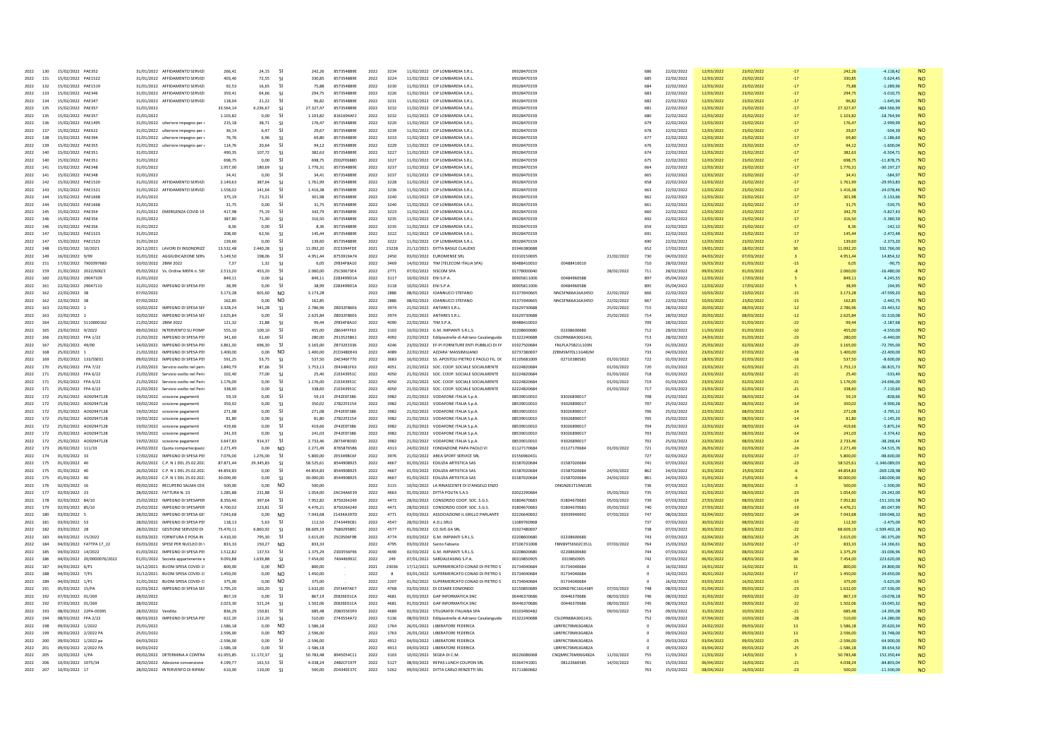| 2022<br>130                | 15/02/2022 PAE352                            | 31/01/2022 AFFIDAMENTO SERVIZI                                     | 266.41                  | 24.15                                            | 242.26                  | 8573548B9E                      | 2022         | 3234         | 11/02/2022 CIP LOMBARDIA S.R.L                                                                      | 09328470159                |                                      |                          | 686        | 22/02/2022               | 12/03/2022               | 23/02/2022               |                | 242.26                 | $-4.118.42$                 | <b>NO</b>              |
|----------------------------|----------------------------------------------|--------------------------------------------------------------------|-------------------------|--------------------------------------------------|-------------------------|---------------------------------|--------------|--------------|-----------------------------------------------------------------------------------------------------|----------------------------|--------------------------------------|--------------------------|------------|--------------------------|--------------------------|--------------------------|----------------|------------------------|-----------------------------|------------------------|
| 2022<br>131                | 15/02/2022 PAE1522                           | 31/01/2022 AFFIDAMENTO SERVIZI                                     | 403.40                  | 72,55                                            | 330,85                  | 8573548B9E                      | 2022         | 3224         | 11/02/2022 CIP LOMBARDIA S.R.L                                                                      | 09328470159                |                                      |                          | 685        | 22/02/2022               | 12/03/2022               | 23/02/2022               |                | 330,85                 | $-5.624.45$                 | <b>NO</b>              |
| 2022<br>132                | 15/02/2022 PAE1519                           | 31/01/2022 AFFIDAMENTO SERVIZI                                     | 92,53                   | 16.65<br>-SI                                     | 75.88                   | 8573548B9E                      | 2022         | 3230         | 11/02/2022 CIP LOMBARDIA S.R.L                                                                      | 09328470159                |                                      |                          | 684        | 22/02/2022               | 12/03/2022               | 23/02/2022               | $-17$          | 75.88                  | $-1.28996$                  | <b>NO</b>              |
| 2022<br>133                | 15/02/2022 PAE346                            | 31/01/2022 AFFIDAMENTO SERVIZI                                     | 359.41                  | 64.66<br>-SI                                     | 294.75                  | 8573548B9E                      | 2022         | 3226         | 11/02/2022 CIP LOMBARDIA S.R.L.                                                                     | 09328470159                |                                      |                          | 683        | 22/02/2022               | 12/03/2022               | 23/02/2022               | $-17$          | 294.75                 | $-5.010.75$                 | <b>NO</b>              |
| 2022<br>134                | 15/02/2022 PAE347                            | 31/01/2022 AFFIDAMENTO SERVIZI                                     | 118.04                  | 21.22<br>-SI                                     | 96.82                   | 8573548B9E                      | 2022         | 3231         | 11/02/2022 CIP LOMBARDIA S.R.L                                                                      | 09328470159                |                                      |                          | 682        | 22/02/2022               | 12/03/2022               | 23/02/2022               |                | 96.82                  | $-1.645.94$                 | <b>NO</b>              |
| 2022<br>135                | 15/02/2022 PAF357                            | 31/01/2022                                                         | 33 564 14               | 6 236 67<br>$\mathsf{S}$                         | 27 327 47               | 8573548R9F                      | 2022         | 3232<br>3232 | 11/02/2022 CIP LOMBARDIA S.R.I.                                                                     | 09328470159                |                                      |                          | 681<br>680 | 22/02/2022               | 12/03/2022               | 23/02/2022               | $-17$          | 27 327 47              | 464 566 99                  | <b>NO</b>              |
| 2022<br>135<br>2022<br>136 | 15/02/2022 PAE357<br>15/02/2022<br>PAE1495   | 31/01/2022<br>31/01/2022 ulteriore impegno per                     | 1.103,82<br>215,18      | 0,00<br>-SI<br>38,71<br>-SI                      | 1.103,82<br>176,4       | 8161694AF2<br>8573548B9E        | 2022<br>2022 | 3220         | 11/02/2022 CIP LOMBARDIA S.R.L<br>11/02/2022 CIP LOMBARDIA S.R.L                                    | 09328470159<br>09328470159 |                                      |                          | 679        | 22/02/2022<br>22/02/2022 | 12/03/2022<br>12/03/2022 | 23/02/2022<br>23/02/2022 | $-17$          | 1.103,82<br>176,47     | $-18.764,94$<br>$-2.999,99$ | <b>NO</b><br><b>NO</b> |
| 2022<br>137                | 15/02/2022 PAE622                            | 31/01/2022 ulteriore impegno per                                   | 36.14                   | 6.47<br>-SI                                      | 29.67                   | 8573548B9E                      | 2022         | 3239         | 11/02/2022 CIP LOMBARDIA S.R.L.                                                                     | 09328470159                |                                      |                          | 678        | 22/02/2022               | 12/03/2022               | 23/02/2022               | $-17$          | 29.67                  | $-504.39$                   | <b>NO</b>              |
| 138<br>2022                | 15/02/2022 PAE394                            | 31/01/2022 ulteriore impegno per                                   | 76.76                   | 6.96<br>-SI                                      | 69.80                   | 8573548B9E                      | 2022         | 3233         | 11/02/2022 CIP LOMBARDIA S.R.L                                                                      | 09328470159                |                                      |                          | 677        | 22/02/2022               | 12/03/2022               | 23/02/2022               |                | 69.80                  | $-1.186.60$                 | <b>NO</b>              |
| 2022<br>139                | 15/02/2022 PAE355                            | 31/01/2022 ulteriore impegno pe                                    | 114,76                  | 20.64<br>-SI                                     | 94.12                   | 8573548B9E                      | 2022         | 3229         | 11/02/2022 CIP LOMBARDIA S.R.L                                                                      | 09328470159                |                                      |                          | 676        | 22/02/2022               | 12/03/2022               | 23/02/2022               |                | 94,12                  | $-1.600.04$                 | <b>NO</b>              |
| 2022<br>140                | 15/02/2022 PAE351                            | 31/01/2022                                                         | 490.35                  | 107.72<br>-SI                                    | 382.63                  | 8573548B9E                      | 2022         | 3227         | 11/02/2022 CIP LOMBARDIA S.R.L                                                                      | 09328470159                |                                      |                          | 674        | 22/02/2022               | 12/03/2022               | 23/02/2022               | $-17$          | 382.63                 | $-6.504.71$                 | <b>NO</b>              |
| 2022<br>140                | <b>PAE351</b>                                | 31/01/2022                                                         | 698,75                  | 0,00                                             | 698,75                  | ZD02FE688D                      | 2022         | 3227         | 11/02/2022 CIP LOMBARDIA S.R.L                                                                      | 09328470159                |                                      |                          | 675        | 22/02/2022               | 12/03/2022               | 23/02/202                |                | 698,75                 | $-11.878,75$                | <b>NO</b>              |
| 2022<br>141                | 15/02/2022 PAF348                            | 31/01/2022                                                         | 1.957.00                | 180.69<br>-SI                                    | 1.776.31                | 8573548R9F                      | 2022         | 3237         | 11/02/2022 CIP LOMBARDIA S.R.I.                                                                     | 09328470159                |                                      |                          | 664        | 22/02/2022               | 12/03/2022               | 23/02/2022               | $-17$          | 1.776.31               | $-30.197.27$                | <b>NO</b>              |
| 2022<br>141                | 15/02/2022 PAE348                            | 31/01/2022                                                         | 34.41                   | 0.00<br>-SI                                      | 34.41                   | 8573548B9E                      | 2022         | 3237         | 11/02/2022 CIP LOMBARDIA S.R.L                                                                      | 09328470159                |                                      |                          | 665        | 22/02/2022               | 12/03/2022               | 23/02/2022               |                | 34.41                  | $-584.97$                   | <b>NO</b>              |
| 2022<br>142                | 15/02/2022 PAE1520                           | 31/01/2022 AFFIDAMENTO SERVIZI                                     | 2.149,63                | 387.64<br>-SI                                    | 1.761,99                | 8573548B9E                      | 2022         | 3228         | 11/02/2022 CIP LOMBARDIA S.R.L                                                                      | 09328470159                |                                      |                          | 658        | 22/02/2022               | 12/03/2022               | 23/02/2022               |                | 1.761,99               | $-29.953,83$                | <b>NO</b>              |
| 2022<br>143                | 15/02/2022 PAF1521                           | 31/01/2022 AFFIDAMENTO SERVIZI                                     | 1.558.02                | 141.64<br>-SI                                    | 1 416 38                | 8573548R9F                      | 2022         | 3236         | 11/02/2022 CIP LOMBARDIA S.R.I.                                                                     | 09328470159                |                                      |                          | 663        | 22/02/2022               | 12/03/2022               | 23/02/2022               | $-17$          | 1,416.38               | $-24.078.46$                | <b>NO</b>              |
| 2022<br>144                | 15/02/2022 PAE1668                           | 31/01/2022                                                         | 375,19                  | -SI<br>73,21                                     | 301,98                  | 8573548B9E                      | 2022         | 3240         | 11/02/2022 CIP LOMBARDIA S.R.L.                                                                     | 09328470159                |                                      |                          | 662        | 22/02/2022               | 12/03/2022               | 23/02/2022               | $-17$          | 301,98                 | $-5.133,66$                 | <b>NO</b>              |
| 144<br>2022                | 15/02/2022 PAE1668                           | 31/01/2022                                                         | 31,75                   | 0,00<br>-SI                                      | 31,75                   | 8573548B9E                      | 2022         | 3240         | 11/02/2022 CIP LOMBARDIA S.R.L                                                                      | 09328470159                |                                      |                          | 661        | 22/02/2022               | 12/03/2022               | 23/02/2022               | $-17$          | 31,75                  | $-539.75$                   | <b>NO</b>              |
| 2022<br>145                | 15/02/2022 PAE354                            | 31/01/2022 EMERGENZA COVID 19                                      | 417.98                  | 75.19<br>-SI                                     | 342.79                  | 8573548B9E                      | 2022         | 3223         | 11/02/2022 CIP LOMBARDIA S.R.L.                                                                     | 09328470159                |                                      |                          | 660        | 22/02/2022               | 12/03/2022               | 23/02/2022               | $-17$          | 342.79                 | $-5.827.43$                 | <b>NO</b>              |
| 146<br>2022                | 15/02/2022 PAE356                            | 31/01/2022                                                         | 387.80                  | 71,30                                            | 316,50                  | 8573548B9E                      | 2022         | 3235         | 11/02/2022 CIP LOMBARDIA S.R.L                                                                      | 09328470159                |                                      |                          | 692        | 22/02/2022               | 12/03/2022               | 23/02/2022               |                | 316.50                 | $-5.380.50$                 |                        |
| 2022<br>146                | 15/02/2022 PAF356                            | 31/01/2022                                                         | 836                     | 0.00<br>-SI                                      | 8.36                    | 8573548R9F                      | 2022         | 3235         | 11/02/2022 CIP LOMBARDIA S.R.I.                                                                     | 09328470159                |                                      |                          | 659        | 22/02/2022               | 12/03/2022               | 23/02/2022               | $-17$          | 8.36                   | $-142.12$                   | <b>NO</b>              |
| 2022<br>147                | 15/02/2022 PAE1523                           | 31/01/2022                                                         | 208.00                  | 62.56<br>-SI                                     | 145.44                  | 8573548B9E                      | 2022         | 3222         | 11/02/2022 CIP LOMBARDIA S.R.L                                                                      | 09328470159                |                                      |                          | 691        | 22/02/2022               | 12/03/2022               | 23/02/2022               |                | 145.44                 | $-2.472.48$                 | <b>NO</b>              |
| 2022<br>147                | 15/02/2022<br>PAE1523                        | 31/01/2022                                                         | 139,60                  | 0,00<br>-SI                                      | 139,60                  | 8573548B9E                      | 2022         | 3222         | 11/02/2022 CIP LOMBARDIA S.R.L                                                                      | 09328470159                |                                      |                          | 690        | 22/02/2022               | 12/03/2022               | 23/02/2022               |                | 139,60                 | $-2.373,20$                 | <b>NO</b>              |
| 2022<br>148                | 15/02/2022 10/2021                           | 20/12/2021 LAVORI DI INSONORIZZ                                    | 13,532.48               | 2.440.28<br>-SI                                  | 11.092.20               | ZCE3394FDE                      | 2021         | 23228        | 21/12/2021 DITTA BASILE CLAUDIO                                                                     | 01946380688                |                                      |                          | 652        | 17/02/2022               | 19/01/2022               | 18/02/2022               |                | 11.092.20              | 332.766.00                  | <b>NO</b>              |
| 2022<br>149                | 16/02/2022 9/99                              | 31/01/2022 AGGIUDICAZIONE SERV                                     | 5.149.50                | 198.06<br>-SI                                    | 4.951.44                | 8753919A74                      | 2022         | 2450         | 03/02/2022 EUROMENSE SRL                                                                            | 01910150695                |                                      | 21/02/2022               | 730        | 04/03/2022               | 04/03/2022               | 07/03/2022               |                | 4.951.44               | 14.854.32                   | <b>NO</b>              |
| 2022<br>151                | 17/02/2022 7X00397683                        | 10/02/2022 2BIM 2022                                               | 7,37                    | 1.32<br>-SI                                      | 6.05                    | ZF834F8A10                      | 2022         | 3469         | 14/02/2022 TIM (TELECOM ITALIA SPA                                                                  | 00488410010                | 00488410010                          |                          | 710        | 28/02/2022               | 16/03/2022               | 01/03/2022               |                | 6,05                   | $-90,75$                    | <b>NO</b>              |
| 2022<br>159                | 21/02/2022 2022/600/2                        | 05/02/2022 Vs. Ordine MEPA n. 59                                   | 2.513.20                | 453.20<br>-SI                                    | 2.060.00                | Z5C30673E4                      | 2022         | 2771         | 07/02/2022 SISCOM SPA                                                                               | 01778000040                |                                      | 28/02/2022               | 711        | 28/02/2022               | 09/03/2022               | 01/03/2022               |                | 2.060.00               | $-16.480.00$                | <b>NO</b>              |
| 2022<br>160                | 22/02/2022<br>29047109                       | 31/01/2022                                                         | 849.11                  | 0.00                                             | 849.11                  | Z283499D1A                      | 2022         | 3117         | 10/02/2022 ENIS.P.A.                                                                                | 00905811006                | 00484960588                          |                          | 897        | 05/04/2022               | 12/03/2022               | 17/03/2022               |                | 849.11                 | 4.245.55                    | <b>NO</b>              |
| 2022<br>161                | 22/02/2022 29047110                          | 31/01/2022 IMPEGNO DI SPESA PE                                     | 38,99                   | 0.00<br>-SI                                      | 38.99                   | Z283499D1A                      | 2022         | 3118         | 10/02/2022 ENIS.P.A.                                                                                | 00905811006                | 00484960588<br>NNCSFN66A16A345O      |                          | 895        | 05/04/2022<br>22/02/2022 | 12/03/2022               | 17/03/2022               |                | 38.99                  | 194,95                      | <b>NO</b>              |
| 162<br>2022                | 22/02/2022 38                                | 07/02/2022                                                         | 3.173,28                | 601,60<br><b>NC</b>                              | 3.173,28                |                                 | 2022         | 2886         | 08/02/2022 IOANNUCCI STEFANO                                                                        | 01373940665                |                                      | 22/02/2022               | 666        |                          | 10/03/2022               | 23/02/2022               |                | 3.173,28               | $-47.599,20$                | <b>NO</b>              |
| 2022<br>162                | 22/02/2022 38                                | 07/02/2022                                                         | 162,85                  | 0,00<br>N <sub>C</sub>                           | 162,85                  |                                 | 2022         | 2886         | 08/02/2022 IOANNUCCI STEFANO                                                                        | 01373940665                | NNCSFN66A16A345C                     | 22/02/2022               | 667        | 22/02/2022               | 10/03/2022               | 23/02/2022               |                | 162,85                 | $-2.442,75$                 | NO                     |
| 2022<br>163<br>2022<br>163 | 22/02/2022 2                                 | 10/02/2022 IMPEGNO DI SPESA SEI<br>10/02/2022 IMPEGNO DI SPESA SEI | 3 328 24<br>2.625.84    | 541.28<br>-SI<br>0.00                            | 2 786 96<br>2.625.8     | <b>78D32F86F6</b>               | 2022<br>2022 | 3974<br>3974 | 21/02/2022 ANTARES S.R.I.                                                                           | 01629730688<br>01629730688 |                                      | 25/02/2022<br>25/02/2022 | 715<br>714 | 28/02/2022               | 20/03/2022               | 08/03/2022               | $-12$          | 2.786.96               | $-3344352$<br>$-31.510.08$  | <b>NO</b><br>NO.       |
| 2022<br>164                | 22/02/2022 2<br>22/02/2022 5110000162        | 21/02/2022 2BIM 2022                                               |                         | -SI<br>21.88<br>-SI                              | 99.44                   | Z8D32F86E6<br><b>7F834F8A10</b> | 2022         | 4090         | 21/02/2022 ANTARES S.R.L<br>22/02/2022 TIM S P A                                                    | 00488410010                |                                      |                          | 709        | 28/02/2022<br>28/02/2022 | 20/03/2022<br>23/03/2022 | 08/03/2022<br>01/03/2022 |                | 2.625.84<br>99.44      | $-2.187.68$                 | <b>NO</b>              |
| 2022<br>165                | 23/02/2022 9/2022                            | 09/02/2022 INTERVENTO SU POME                                      | 121,32<br>555.10        | 100.10<br>-SI                                    | 455.00                  | Z8634FFF63                      | 2022         | 3102         | 10/02/2022 G.M. IMPIANTI S.R.L.S.                                                                   | 02208600680                | 02208600680                          |                          | 712        | 28/02/2022               | 11/03/2022               | 01/03/2022               | $-10$          | 455.00                 | $-4.550.00$                 | <b>NO</b>              |
| 166                        | 23/02/2022 FPA 1/22                          | 21/02/2022 IMPEGNO DI SPESA PEI                                    |                         | -SI                                              |                         | Z913525B61                      |              | 4092         |                                                                                                     | 01322240688                | CSLDRN68A30G141L                     |                          |            |                          |                          | 01/03/2022               |                |                        | $-6.440.00$                 | <b>NO</b>              |
| 2022<br>2022<br>167        | 25/02/2022 49/00                             | 14/02/2022 IMPEGNO DI SPESA PEI                                    | 341.60<br>3 861 30      | 61,60<br>696.30<br>-SI                           | 280.00<br>3.165.00      | ZB732E3336                      | 2022<br>2022 | 4246         | 22/02/2022 Edilpiastrelle di Adriano Casalanguida<br>23/02/2022 EF-PI FORNITURE ENTI PUBBLICI DI FA | 01927500684                | FNLPLA75B21L103N                     |                          | 713<br>724 | 28/02/2022<br>01/03/2022 | 24/03/2022<br>25/03/2022 | 02/03/2022               | $-23$<br>$-23$ | 280.00<br>3.165.00     | $-72.795.00$                | <b>NO</b>              |
| 2022                       |                                              |                                                                    |                         |                                                  |                         |                                 |              |              |                                                                                                     |                            |                                      |                          |            |                          |                          |                          |                |                        |                             |                        |
| 168<br>2022<br>169         | 25/02/2022 1<br>25/02/2022 133/SSE0          | 21/02/2022 IMPEGNO DI SPESA PEI<br>09/02/2022 IMPEGNO DI SPESA PE  | 1,400.00<br>591.25      | 0.00<br>N <sub>O</sub><br>53.75<br><b>SI</b>     | 1.400.00<br>537.50      | ZCD348DE43<br>ZAE346F770        | 2022<br>2022 | 4089<br>3683 | 22/02/2022 AZZARA' MASSIMILIANO<br>SS. APOSTOLI PIETRO E PAOLO FIL. DO                              | 02737380697<br>01105681009 | ZZRMSM70L11G482M<br>02710380581      | 01/03/2022               | 733<br>722 | 04/03/2022<br>01/03/2022 | 23/03/2022<br>18/03/2022 | 07/03/2022<br>02/03/2022 | $-16$          | 1,400.00<br>537.50     | $-22.400.00$<br>$-8,600.00$ | <b>NO</b><br><b>NO</b> |
| 2022<br>170                | 25/02/2022 FPA 7/22                          | 21/02/2022 Servizio svolto nel neri                                | 184079                  | 87.66<br>-SI                                     | 175313                  | 7F43481F63                      | 2022         | 4051         | 21/02/2022 SOC COOP SOCIALE SOCIALMENTE                                                             | 02224820684                |                                      | 01/03/2022               | 720        | 01/03/2022               | 23/03/2022               | 02/03/2022               | $-21$          | 1.753.13               | $-36.815.73$                | <b>NO</b>              |
| 171<br>2022                | 25/02/2022 FPA 6/22                          | 21/02/2022 Servizio svolto nel Peri                                | 102.40                  | 77,00<br>-SI                                     | 25.40                   | Z1E343951C                      | 2022         | 4050         | 21/02/2022 SOC. COOP. SOCIALE SOCIALMENTE                                                           | 02224820684                |                                      | 01/03/2022               | 718        | 01/03/2022               | 23/03/2022               | 02/03/2022               | $-21$          | 25.40                  | $-533,40$                   | <b>NO</b>              |
| 2022<br>171                | 25/02/2022 FPA 6/22                          | 21/02/2022 Servizio svolto nel Peri                                | 1.176,00                | 0.00<br>-SI                                      | 1.176,00                | Z1E343951C                      | 2022         | 4050         | 21/02/2022 SOC. COOP. SOCIALE SOCIALMENTE                                                           | 02224820684                |                                      | 01/03/2022               | 719        | 01/03/2022               | 23/03/2022               | 02/03/2022               |                | 1.176,00               | $-24.696,00$                | <b>NO</b>              |
| 2022<br>171                | 25/02/2022 FPA 6/22                          | 21/02/2022 Servizio svolto nel Peri                                | 338.60                  | 0.00<br>-SI                                      | 338.60                  | Z1E343951C                      | 2022         | 4050         | 21/02/2022 SOC. COOP. SOCIALE SOCIALMENTE                                                           | 02224820684                |                                      | 01/03/2022               | 717        | 01/03/2022               | 23/03/2022               | 02/03/2022               | $-21$          | 338.60                 | $-7.110.60$                 | <b>NO</b>              |
| 2022<br>172                | 25/02/2022 A002947128                        | 19/02/2022 scissione pagamenti                                     | 59.19                   | 0.00<br>-SI                                      | 59.19                   | ZF42EEF386                      | 2022         | 3982         | 21/02/2022 VODAFONE ITALIA S.p.A                                                                    | 08539010010                | 93026890017                          |                          | 708        | 25/02/2022               | 22/03/2022               | 08/03/2022               |                | 59.19                  | $-828.66$                   | <b>NO</b>              |
| 2022<br>172                | 25/02/2022 AO02947128                        | 19/02/2022 scissione pagament                                      | 350.02                  | 0.00<br>-SI                                      | 350.02                  | Z7822F3154                      | 2022         | 3982         | 21/02/2022 VODAFONE ITALIA S.p.A                                                                    | 08539010010                | 93026890017                          |                          | 707        | 25/02/2022               | 22/03/2022               | 08/03/2023               |                | 350.02                 | $-4.900.28$                 | <b>NO</b>              |
| 172<br>2022                | 25/02/2022 AO02947128                        | 19/02/2022 scissione pagamenti                                     | 271,08                  | 0.00<br>-SI                                      | 271,08                  | ZF42EEF386                      | 2022         | 3982         | 21/02/2022 VODAFONE ITALIA S.p.A.                                                                   | 08539010010                | 93026890017                          |                          | 706        | 25/02/2022               | 22/03/2022               | 08/03/2022               |                | 271,08                 | $-3.795,12$                 | <b>NO</b>              |
| 2022<br>172                | 25/02/2022 AO02947128                        | 19/02/2022 scissione pagamenti                                     | 81,80                   | 0,00                                             | 81,80                   | Z7822F3154                      | 2022         | 3982         | 21/02/2022 VODAFONE ITALIA S.p.A                                                                    | 08539010010                | 93026890017                          |                          | 705        | 25/02/2022               | 22/03/2022               | 08/03/2022               |                | 81,80                  | $-1.145,20$                 |                        |
| 2022<br>172                | 25/02/2022 AO02947128                        | 19/02/2022 scissione pagamenti                                     | 419.66                  | $0.00 -$<br>-SI                                  | 419.66                  | <b>7F42FFF386</b>               | 2022         | 3982         | 21/02/2022 VODAFONE ITALIA S.p.A                                                                    | 08539010010                | 93026890017                          |                          | 704        | 25/02/2022               | 22/03/2022               | 08/03/2022               |                | 419,66                 | $-5.875.24$                 | <b>NO</b>              |
| 2022<br>172                | 25/02/2022 AO02947128                        | 19/02/2022 scissione pagamenti                                     | 241.03                  | 0.00<br>-SI                                      | 241.03                  | ZF42EEF386                      | 2022         | 3982         | 21/02/2022 VODAFONE ITALIA S.p.A                                                                    | 08539010010                | 93026890017                          |                          | 703        | 25/02/2022               | 22/03/2022               | 08/03/2022               | $-14$          | 241.03                 | $-3.374.42$                 | <b>NO</b>              |
| 2022<br>172                | 25/02/2022 AO02947128                        | 19/02/2022<br>scissione pagamenti                                  | 3.647.83                | 914,37<br>$\mathsf{S}$                           | 2.733,46                | Z8734FB03D                      | 2022         | 3982         | 21/02/2022<br>VODAFONE ITALIA S.p.A                                                                 | 08539010010                | 93026890017                          |                          | 702        | 25/02/2022               | 22/03/2022               | 08/03/2023               |                | 2.733.46               | 38.268.44                   | <b>NO</b>              |
| 2022<br>173                | 26/02/2022 111/33                            | 24/02/2022 Ounta comparterinazio                                   | 2 2 7 1 4 9             | 0.00<br>NO.                                      | 2 2 7 1 4 9             | 87658765B6                      | 2022         | 4313         | 24/02/2022 FONDAZIONE PAPA PAOLO VI                                                                 | 01127170684                | 01127170684                          | 01/03/2022               | 721        | 01/03/2022               | 26/03/2022               | 02/03/2022               | $-24$          | 2.271.49               | $-5457576$                  | <b>NO</b>              |
| 2022<br>174                | 01/03/2022 33                                | 17/02/2022 IMPEGNO DI SPESA PEI                                    | 7.076,00                | 1.276,00<br><b>SI</b>                            | 5.800,00                | ZE5349BC6F                      | 2022         | 3976         | 21/02/2022 AREA SPORT SERVICE SRL                                                                   | 01556960431                |                                      |                          | 727        | 02/03/2022               | 20/03/2022               | 03/03/2022               |                | 5.800,00               | $-98.600,00$                | <b>NO</b>              |
| 175<br>2022                | 01/03/2022 40                                | 26/02/2022 C.P. N 1 DEL 25.02.202                                  | 87.871.44               | 29.345.83<br>-SI                                 | 58.525.61               | 8544908925                      | 2022         | 4667         | 01/03/2022 EDILIZIA ARTISTICA SAS                                                                   | 01587020684                | 01587020684                          |                          | 741        | 07/03/2022               | 31/03/2022               | 08/03/2022               | $-23$          | 58.525,61              | $-1.346.089.03$             | <b>NO</b>              |
| 2022<br>175                | 01/03/2022 40                                | 26/02/2022 C.P. N 1 DEL 25.02.202                                  | 44.854.83               | 0.00<br>-SI                                      | 44.854.83               | 8544908925                      | 2022         | 4667         | 01/03/2022 EDILIZIA ARTISTICA SAS                                                                   | 01587020684                | 01587020684                          | 24/03/2022               | 862        | 24/03/2022               | 31/03/2022               | 25/03/2022               |                | 44.854.83              | $-269.128.98$               | <b>NO</b>              |
| 2022<br>175                | 01/03/2022 40                                | 26/02/2022 C.P. N 1 DEL 25.02.202                                  | 30.000.00               | 0,00<br><b>SI</b>                                | 30,000.00               | 8544908925                      | 2022         | 4667         | 01/03/2022 EDILIZIA ARTISTICA SAS                                                                   | 01587020684                | 01587020684                          | 24/03/2022               | 861        | 24/03/2022               | 31/03/2022               | 25/03/2022               |                | 30,000.00              | $-180.000.00$               | <b>NO</b>              |
| 2022<br>176                | 02/03/2022 16                                | 09/02/2022 RECUPERO SALMA CEI                                      | 500.00                  | 0.00<br>N <sub>O</sub>                           | 500.00                  |                                 | 2022         | 3115         | 10/02/2022 LA RINASCENTE DI D'ANGELO ENZO                                                           |                            | <b>DNGNZ61T19A018S</b>               |                          | 736        | 07/03/2022               | 11/03/2022               | 08/03/2022               |                | 500.00                 | $-1.50000$                  | <b>NO</b>              |
| 2022<br>177                | 02/03/2022 23                                | 28/02/2022 FATTURA N. 23                                           | 1,285.88                | -SI<br>231.88                                    | 1.054.00                | ZAC34A6E39                      | 2022         | 4663         | 01/03/2022 DITTA POLITA S A S                                                                       | 02022290684                |                                      | 05/03/2022               | 735        | 07/03/2022               | 31/03/2022               | 08/03/2022               | $-23$          | 1.054.00               | $-24.242.00$                | <b>NO</b>              |
| 2022<br>178                | 02/03/2022 84/10                             | 25/02/2022 IMPEGNO DI SPESAPER                                     | 8.350,46                | 397,64<br><b>SI</b>                              | 7.952,82                | 8750264249                      | 2022         | 4472         | 28/02/2022 CONSORZIO COOP. SOC. S.G.S                                                               | 01804670683                | 01804670683                          | 05/03/2022               | 739        | 07/03/2022               | 27/03/2022               | 08/03/2022               |                | 7.952,82               | $-151.103,58$               | <b>NO</b>              |
| 2022<br>179                | 02/03/2022 85/10                             | 25/02/2022 IMPEGNO DI SPESAPER                                     | 4.700.02                | 223.81<br>-SI                                    | 4.476.21                | 8750264249                      | 2022         | 4471         | 28/02/2022 CONSORZIO COOP, SOC. S.G.S.                                                              | 01804670683                | 01804670683                          | 05/03/2022               | 740        | 07/03/2022               | 27/03/2022               | 08/03/2022               | $-19$          | 4.476.21               | $-85.047.99$                | <b>NO</b>              |
| 2022<br>180                | 03/03/2022 5                                 | 28/02/2022 IMPEGNO DI SPESA GE                                     | 7.043.68                | 0.00<br>N <sub>O</sub>                           | 7.043.68                | Z1434A397D                      | 2022         | 4771         | 03/03/2022 ASSOCIAZIONE IL GRILLO PARLANTE                                                          | 02226640692                | 93039940692                          | 07/03/2022               | 747        | 08/03/2022               | 02/04/2022               | 09/03/2022               | $-24$          | 7.043.68               | $-169.048.32$               | <b>NO</b>              |
| 2022<br>181                | 03/03/2022 53                                | 28/02/2022 IMPEGNO DI SPESA PE                                     | 118,13                  | 5,63<br>-SI                                      | 112,50                  | Z743449C81                      | 2022         | 4547         | 28/02/2022 ADISRIS                                                                                  | 11089760968                |                                      |                          | 737        | 07/03/2022               | 30/03/2022               | 08/03/2022               |                | 112,50                 | $-2.475.00$                 | <b>NO</b>              |
| 182<br>2022                | 03/03/2022 28                                | 28/02/2022 GESTIONE SERVIZIO DI                                    | 75.470.11               | 6.860.92<br>-SI                                  | 68,609.19               | 7680295BFC                      | 2022         | 4577         | 01/03/2022 CO.SVE.GA SRL                                                                            | 01927480697                |                                      |                          | 738        | 07/03/2022               | 30/03/2022               | 08/03/2022               | $-22$          | 68,609.19              | $-1.509.402.18$             | <b>NO</b>              |
| 2022<br>183                | 04/03/2022 15/2022                           | 03/03/2022 FORNITURA E POSA IN                                     | 4.410,30                | 795,30<br>-SI                                    | 3.615,00                | Z5C0506F9B                      | 2022         | 4774         | 03/03/2022 G.M. IMPIANTI S.R.L.S.                                                                   | 02208600680                | 02208600680                          |                          | 743        | 07/03/2022               | 02/04/2022               | 08/03/2022               |                | 3.615,00               | $-90.375,00$                | <b>NO</b>              |
| 2022<br>184                | 04/03/2022 FATTPA 17 22                      | 03/03/2022 SPESE PER NUCLEO DI                                     | 833,33                  | N <sub>O</sub><br>150.27                         | 833.33                  |                                 | 2022         | 4795         | 03/03/2022 Santo Fabiano                                                                            | 07106731008                | FBNSNT56S02C351L                     | 07/03/2022               | 764        | 15/03/2022               | 02/04/2022               | 16/03/2022               | $-17$          | 833,33                 | $-14.166, 61$               | <b>NO</b>              |
| 2022<br>185                | 04/03/2022 14/2022                           | 01/03/2022 IMPEGNO DI SPESA PEI                                    | 1.512.82                | 137,53<br>-SI                                    | 1.375.29                | Z3D3556F96                      | 2022         | 4690         | 02/03/2022 G.M. IMPIANTI S.R.L.S.                                                                   | 02208600680                | 02208600680                          |                          | 744        | 07/03/2022               | 01/04/2022               | 08/03/2022               | $-24$          | 1.375,29               | $-33.006,96$                | <b>NO</b>              |
| 2022<br>186                | 04/03/2022<br>20/0000076/2022                | 01/01/2022 Società appartenente a                                  | 9.093,88                | 1.639,88<br>-SI                                  | 7.454,00                | 740446991C                      | 2022         | 249          | 07/01/2022<br>SARDALEASING S.P.A                                                                    | 00319850905                | 0319850905                           |                          | 742        | 07/03/2022               | 06/02/2022               | 08/03/2022               |                | 7,454.00               | 223.620,00                  | <b>NO</b>              |
| 2022<br>187                | 04/03/2022 6/P1                              | 16/12/2021 BUONI SPESA COVID-1                                     | 800.00                  | 0.00<br>NO.                                      | 800.00                  |                                 | 2021         | 23036        | 17/12/2021 SUPERMERCATO CONAD DI PIETRO S                                                           | 01734040684                | 01734040684                          |                          | $\sim$     | 16/02/2022               | 16/01/2022               | 16/02/2022               |                | 800.00                 | 24,800.00                   | <b>NO</b>              |
| 188<br>2022                | 04/03/2022 7/P1                              | 31/12/2021 BUONI SPESA COVID-1                                     | 1,450.00                | 0.00<br>N <sub>C</sub>                           | 1,450.00                |                                 | 2022         | 8            | 03/01/2022 SUPERMERCATO CONAD DI PIETRO S                                                           | 01734040684                | 01734040684                          |                          |            | 16/02/2022               | 30/01/2022               | 16/02/2022               |                | 1,450.00               | 24,650.00                   | <b>NO</b>              |
| 189<br>2022                | 04/03/2022 1/P1                              | 31/01/2022 BUONI SPESA COVID-1                                     | 375,00                  | $0.00 -$<br><b>NC</b>                            | 375,00                  |                                 | 2022         | 2207         | 01/02/2022 SUPERMERCATO CONAD DI PIETRO S                                                           | 01734040684                | 01734040684                          |                          |            | 16/02/2022               | 03/03/2022               | 16/02/2022               |                | 375,00                 | $-5.625,00$                 | <b>NO</b>              |
| 2022<br>191                | 05/03/2022 15/PA                             | 02/03/2022 IMPEGNO DI SPESA SEI                                    | 1.795.20                | 163.20<br>-SI                                    | 1.632.00                | Z5F3497AE7                      | 2022         | 4768         | 03/03/2022 DI CESARE EDMONDO                                                                        | 02150850689                | DCSDND76C16G438Y                     | 07/03/2022               | 748        | 08/03/2022               | 01/04/2022               | 09/03/2022               | $-23$          | 1.632.00               | $-37.536.00$                | <b>NO</b>              |
| 2022<br>192                | 07/03/2022 01/269                            | 28/02/2022                                                         | 867,19                  | 0,00<br><b>SI</b>                                | 867,19                  | ZE826E01CA                      | 2022         | 468          | 01/03/2022<br><b>GAP INFORMATICA SN</b>                                                             | 00446370686                | 00446370686                          | 08/03/2022               | 746        | 08/03/2022               | 31/03/202                | 09/03/2022               |                | 867,19                 | 19.078,18                   | <b>NO</b>              |
| 2022<br>192                | 07/03/2022 01/269                            | 28/02/2022                                                         | 2.023.30                | 521.24<br>$\mathsf{S}$                           | 1.502.06                | <b>7FR26F01CA</b>               | 2022         | 4681         | 01/03/2022 GAP INFORMATICA SNC                                                                      | 00446370686                | 00446370686                          | 08/03/2022               | 745        | 08/03/2022               | 31/03/2022               | 09/03/2022               | $-22$          | 1.502.06               | $-33,045,32$                | <b>NO</b>              |
| 2022<br>193                | 08/03/2022 22PA-00395                        | 28/02/2022 Vendita                                                 | 836.29                  | -SI<br>150.81                                    | 685.48                  | <b>7D8355F0F0</b>               | 2022         | 4689         | 02/03/2022 STILGRAFIX ITALIANA SPA                                                                  | 03103490482                |                                      | 09/03/2022               | 753        | 09/03/2022               | 31/03/2022               | 10/03/2022               | $-21$          | 685.48                 | $-14.395.08$                | <b>NO</b>              |
| 2022<br>194                | 08/03/2022 FPA 2/22                          | 08/03/2022 IMPEGNO DI SPESA PE                                     | 622,20                  | 112.20<br>-SI                                    | 510.00                  | Z743554A72                      | 2022         | 5136         | 08/03/2022 Edilpiastrelle di Adriano Casalanguida                                                   | 01322240688                | CSLDRN68A30G141L                     |                          | 752        | 09/03/2022               | 07/04/2022               | 10/03/2022               |                | 510.00                 | $-14.280,00$                | <b>NO</b>              |
| 2022<br>198                | 09/03/2022 1/2022                            | 25/01/2022                                                         | 158618                  | 0.00<br>N <sub>O</sub><br>N <sub>O</sub><br>0.00 | 1.586.18                |                                 | 2022         | 1764         | 26/01/2022 LIBERATORE FEDERICA                                                                      |                            | LBRERCZOM63G4824                     |                          | $\sim$     | 09/03/2022               | 24/02/2022               | 09/03/2022               | 13             | 1.586.18               | 20.620.34<br>33,748.00      | <b>NO</b><br><b>NO</b> |
| 2022<br>199<br>2022<br>200 | 09/03/2022 2/2022 PA<br>09/03/2022 1/2022 pa | 25/01/2022<br>04/03/2022                                           | 2.596,00<br>$-2.596,00$ | 0,00<br>-SI                                      | 2.596.00<br>$-2.596.00$ |                                 | 2022<br>2022 | 1763<br>4912 | 26/01/2022 LIBERATORE FEDERICA<br>04/03/2022 LIBERATORE FEDERICA                                    |                            | LBRFRC70M63G482A<br>LBRFRC70M63G482A |                          |            | 09/03/2022<br>09/03/2022 | 24/02/2022<br>03/04/2022 | 09/03/2022<br>09/03/2022 | 13             | 2.596,00<br>$-2.596.0$ | 64,900.00                   | <b>NO</b>              |
| 2022<br>201                | 09/03/2022 2/2022 PA                         | 04/03/2022                                                         | $-1.586.18$             | 0.00<br>-SI                                      | $-1.586.18$             |                                 | 2022         | 4913         | 04/03/2022 LIBERATORE FEDERICA                                                                      |                            | LBRFRC70M63G482A                     |                          |            | 09/03/2022               | 03/04/2022               | 09/03/2022               | $-25$          | $-1.586.18$            | 39.654.50                   | <b>NO</b>              |
| 2022<br>205                | 10/03/2022 1/PA                              | 09/02/2022 DETERMINA A CONTRA                                      | 61.955.85               | 11.172.37<br>-SI                                 | 50.783.48               | 8945054C11                      | 2022         | 3103         | 10/02/2022 SEGEA DI C.M.                                                                            | 00226086068                | CNQMRC76M06G482A                     | 11/03/2022               | 755        | 11/03/2022               | 11/03/2022               | 14/03/2022               |                | 50.783.48              | 152.350.44                  | <b>NO</b>              |
| 2022 206                   | 10/03/2022 1075/34                           | 28/02/2022 Adesione convenzione                                    | 4.199.77                | 161.53<br>-SI                                    | 4.038.24                | 74R2CF197F                      | 2022         | 5127         | 08/03/2022 REPAS LUNCH COUPON SRL                                                                   | 01964741001                | 08122660585                          | 14/03/2022               | 761        | 15/03/2022               | 06/04/2022               | 16/03/2022               | $-21$          | 4.038.24               | $-84,803,04$                | <b>NO</b>              |
| 2022 207                   | 10/03/2022 17                                | 28/02/2022 INTERVENTO DI RIPARA                                    | 610.00                  | 110,00<br>-SI                                    | 500.00                  | ZD434EE37C                      | 2022         | 5262         | 09/03/2022 DITTA CARLO RENZETTI SRL                                                                 | 01711860682                |                                      |                          | 763        | 15/03/2022               | 08/04/2022               | 16/03/2022               | $-23$          | 500.00                 | $-11.500,00$                | <b>NO</b>              |
|                            |                                              |                                                                    |                         |                                                  |                         |                                 |              |              |                                                                                                     |                            |                                      |                          |            |                          |                          |                          |                |                        |                             |                        |